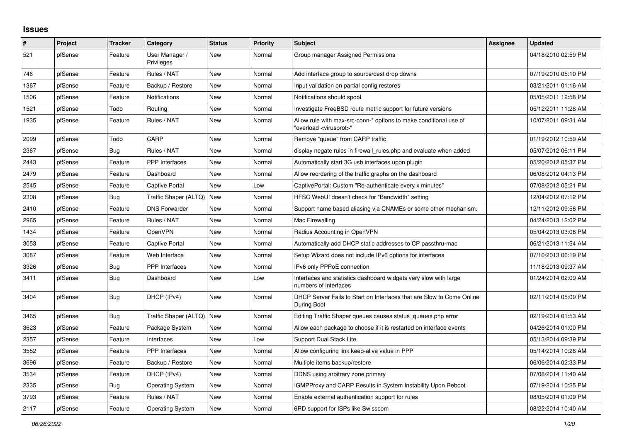## **Issues**

| #    | Project | <b>Tracker</b> | Category                     | <b>Status</b> | <b>Priority</b> | <b>Subject</b>                                                                                          | Assignee | <b>Updated</b>      |
|------|---------|----------------|------------------------------|---------------|-----------------|---------------------------------------------------------------------------------------------------------|----------|---------------------|
| 521  | pfSense | Feature        | User Manager /<br>Privileges | New           | Normal          | Group manager Assigned Permissions                                                                      |          | 04/18/2010 02:59 PM |
| 746  | pfSense | Feature        | Rules / NAT                  | New           | Normal          | Add interface group to source/dest drop downs                                                           |          | 07/19/2010 05:10 PM |
| 1367 | pfSense | Feature        | Backup / Restore             | <b>New</b>    | Normal          | Input validation on partial config restores                                                             |          | 03/21/2011 01:16 AM |
| 1506 | pfSense | Feature        | Notifications                | <b>New</b>    | Normal          | Notifications should spool                                                                              |          | 05/05/2011 12:58 PM |
| 1521 | pfSense | Todo           | Routing                      | New           | Normal          | Investigate FreeBSD route metric support for future versions                                            |          | 05/12/2011 11:28 AM |
| 1935 | pfSense | Feature        | Rules / NAT                  | New           | Normal          | Allow rule with max-src-conn-* options to make conditional use of<br>'overload <virusprot>"</virusprot> |          | 10/07/2011 09:31 AM |
| 2099 | pfSense | Todo           | CARP                         | New           | Normal          | Remove "queue" from CARP traffic                                                                        |          | 01/19/2012 10:59 AM |
| 2367 | pfSense | <b>Bug</b>     | Rules / NAT                  | <b>New</b>    | Normal          | display negate rules in firewall rules php and evaluate when added                                      |          | 05/07/2012 06:11 PM |
| 2443 | pfSense | Feature        | <b>PPP</b> Interfaces        | <b>New</b>    | Normal          | Automatically start 3G usb interfaces upon plugin                                                       |          | 05/20/2012 05:37 PM |
| 2479 | pfSense | Feature        | Dashboard                    | New           | Normal          | Allow reordering of the traffic graphs on the dashboard                                                 |          | 06/08/2012 04:13 PM |
| 2545 | pfSense | Feature        | Captive Portal               | New           | Low             | CaptivePortal: Custom "Re-authenticate every x minutes"                                                 |          | 07/08/2012 05:21 PM |
| 2308 | pfSense | Bug            | Traffic Shaper (ALTQ)        | <b>New</b>    | Normal          | HFSC WebUI doesn't check for "Bandwidth" setting                                                        |          | 12/04/2012 07:12 PM |
| 2410 | pfSense | Feature        | <b>DNS Forwarder</b>         | New           | Normal          | Support name based aliasing via CNAMEs or some other mechanism.                                         |          | 12/11/2012 09:56 PM |
| 2965 | pfSense | Feature        | Rules / NAT                  | New           | Normal          | Mac Firewalling                                                                                         |          | 04/24/2013 12:02 PM |
| 1434 | pfSense | Feature        | OpenVPN                      | New           | Normal          | Radius Accounting in OpenVPN                                                                            |          | 05/04/2013 03:06 PM |
| 3053 | pfSense | Feature        | Captive Portal               | New           | Normal          | Automatically add DHCP static addresses to CP passthru-mac                                              |          | 06/21/2013 11:54 AM |
| 3087 | pfSense | Feature        | Web Interface                | <b>New</b>    | Normal          | Setup Wizard does not include IPv6 options for interfaces                                               |          | 07/10/2013 06:19 PM |
| 3326 | pfSense | Bug            | PPP Interfaces               | New           | Normal          | IPv6 only PPPoE connection                                                                              |          | 11/18/2013 09:37 AM |
| 3411 | pfSense | Bug            | Dashboard                    | New           | Low             | Interfaces and statistics dashboard widgets very slow with large<br>numbers of interfaces               |          | 01/24/2014 02:09 AM |
| 3404 | pfSense | <b>Bug</b>     | DHCP (IPv4)                  | New           | Normal          | DHCP Server Fails to Start on Interfaces that are Slow to Come Online<br>During Boot                    |          | 02/11/2014 05:09 PM |
| 3465 | pfSense | <b>Bug</b>     | Traffic Shaper (ALTQ)        | <b>New</b>    | Normal          | Editing Traffic Shaper queues causes status_queues.php error                                            |          | 02/19/2014 01:53 AM |
| 3623 | pfSense | Feature        | Package System               | New           | Normal          | Allow each package to choose if it is restarted on interface events                                     |          | 04/26/2014 01:00 PM |
| 2357 | pfSense | Feature        | Interfaces                   | New           | Low             | <b>Support Dual Stack Lite</b>                                                                          |          | 05/13/2014 09:39 PM |
| 3552 | pfSense | Feature        | PPP Interfaces               | New           | Normal          | Allow configuring link keep-alive value in PPP                                                          |          | 05/14/2014 10:26 AM |
| 3696 | pfSense | Feature        | Backup / Restore             | New           | Normal          | Multiple items backup/restore                                                                           |          | 06/06/2014 02:33 PM |
| 3534 | pfSense | Feature        | DHCP (IPv4)                  | New           | Normal          | DDNS using arbitrary zone primary                                                                       |          | 07/08/2014 11:40 AM |
| 2335 | pfSense | <b>Bug</b>     | <b>Operating System</b>      | New           | Normal          | <b>IGMPProxy and CARP Results in System Instability Upon Reboot</b>                                     |          | 07/19/2014 10:25 PM |
| 3793 | pfSense | Feature        | Rules / NAT                  | <b>New</b>    | Normal          | Enable external authentication support for rules                                                        |          | 08/05/2014 01:09 PM |
| 2117 | pfSense | Feature        | <b>Operating System</b>      | New           | Normal          | 6RD support for ISPs like Swisscom                                                                      |          | 08/22/2014 10:40 AM |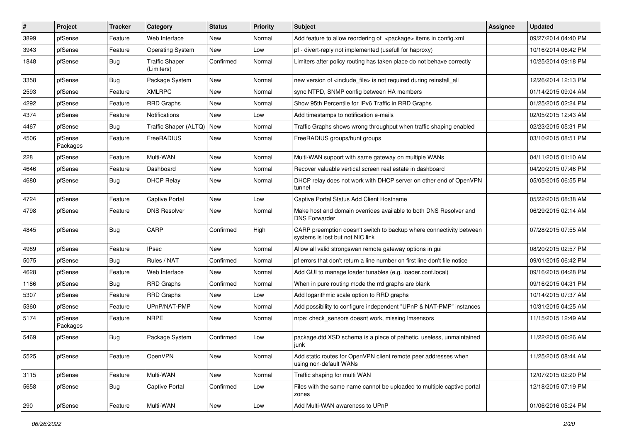| $\vert$ # | Project             | <b>Tracker</b> | Category                            | <b>Status</b> | Priority | Subject                                                                                                 | Assignee | <b>Updated</b>      |
|-----------|---------------------|----------------|-------------------------------------|---------------|----------|---------------------------------------------------------------------------------------------------------|----------|---------------------|
| 3899      | pfSense             | Feature        | Web Interface                       | New           | Normal   | Add feature to allow reordering of <package> items in config.xml</package>                              |          | 09/27/2014 04:40 PM |
| 3943      | pfSense             | Feature        | <b>Operating System</b>             | <b>New</b>    | Low      | pf - divert-reply not implemented (usefull for haproxy)                                                 |          | 10/16/2014 06:42 PM |
| 1848      | pfSense             | Bug            | <b>Traffic Shaper</b><br>(Limiters) | Confirmed     | Normal   | Limiters after policy routing has taken place do not behave correctly                                   |          | 10/25/2014 09:18 PM |
| 3358      | pfSense             | Bug            | Package System                      | <b>New</b>    | Normal   | new version of <include_file> is not required during reinstall_all</include_file>                       |          | 12/26/2014 12:13 PM |
| 2593      | pfSense             | Feature        | <b>XMLRPC</b>                       | <b>New</b>    | Normal   | sync NTPD, SNMP config between HA members                                                               |          | 01/14/2015 09:04 AM |
| 4292      | pfSense             | Feature        | <b>RRD Graphs</b>                   | New           | Normal   | Show 95th Percentile for IPv6 Traffic in RRD Graphs                                                     |          | 01/25/2015 02:24 PM |
| 4374      | pfSense             | Feature        | Notifications                       | <b>New</b>    | Low      | Add timestamps to notification e-mails                                                                  |          | 02/05/2015 12:43 AM |
| 4467      | pfSense             | Bug            | Traffic Shaper (ALTQ)               | New           | Normal   | Traffic Graphs shows wrong throughput when traffic shaping enabled                                      |          | 02/23/2015 05:31 PM |
| 4506      | pfSense<br>Packages | Feature        | FreeRADIUS                          | <b>New</b>    | Normal   | FreeRADIUS groups/hunt groups                                                                           |          | 03/10/2015 08:51 PM |
| 228       | pfSense             | Feature        | Multi-WAN                           | <b>New</b>    | Normal   | Multi-WAN support with same gateway on multiple WANs                                                    |          | 04/11/2015 01:10 AM |
| 4646      | pfSense             | Feature        | Dashboard                           | <b>New</b>    | Normal   | Recover valuable vertical screen real estate in dashboard                                               |          | 04/20/2015 07:46 PM |
| 4680      | pfSense             | <b>Bug</b>     | <b>DHCP Relay</b>                   | New           | Normal   | DHCP relay does not work with DHCP server on other end of OpenVPN<br>tunnel                             |          | 05/05/2015 06:55 PM |
| 4724      | pfSense             | Feature        | Captive Portal                      | <b>New</b>    | Low      | Captive Portal Status Add Client Hostname                                                               |          | 05/22/2015 08:38 AM |
| 4798      | pfSense             | Feature        | <b>DNS Resolver</b>                 | New           | Normal   | Make host and domain overrides available to both DNS Resolver and<br><b>DNS Forwarder</b>               |          | 06/29/2015 02:14 AM |
| 4845      | pfSense             | <b>Bug</b>     | CARP                                | Confirmed     | High     | CARP preemption doesn't switch to backup where connectivity between<br>systems is lost but not NIC link |          | 07/28/2015 07:55 AM |
| 4989      | pfSense             | Feature        | <b>IPsec</b>                        | <b>New</b>    | Normal   | Allow all valid strongswan remote gateway options in gui                                                |          | 08/20/2015 02:57 PM |
| 5075      | pfSense             | <b>Bug</b>     | Rules / NAT                         | Confirmed     | Normal   | pf errors that don't return a line number on first line don't file notice                               |          | 09/01/2015 06:42 PM |
| 4628      | pfSense             | Feature        | Web Interface                       | New           | Normal   | Add GUI to manage loader tunables (e.g. loader.conf.local)                                              |          | 09/16/2015 04:28 PM |
| 1186      | pfSense             | Bug            | <b>RRD Graphs</b>                   | Confirmed     | Normal   | When in pure routing mode the rrd graphs are blank                                                      |          | 09/16/2015 04:31 PM |
| 5307      | pfSense             | Feature        | <b>RRD Graphs</b>                   | New           | Low      | Add logarithmic scale option to RRD graphs                                                              |          | 10/14/2015 07:37 AM |
| 5360      | pfSense             | Feature        | UPnP/NAT-PMP                        | <b>New</b>    | Normal   | Add possibility to configure independent "UPnP & NAT-PMP" instances                                     |          | 10/31/2015 04:25 AM |
| 5174      | pfSense<br>Packages | Feature        | <b>NRPE</b>                         | New           | Normal   | nrpe: check sensors doesnt work, missing Imsensors                                                      |          | 11/15/2015 12:49 AM |
| 5469      | pfSense             | <b>Bug</b>     | Package System                      | Confirmed     | Low      | package.dtd XSD schema is a piece of pathetic, useless, unmaintained<br>junk                            |          | 11/22/2015 06:26 AM |
| 5525      | pfSense             | Feature        | OpenVPN                             | New           | Normal   | Add static routes for OpenVPN client remote peer addresses when<br>using non-default WANs               |          | 11/25/2015 08:44 AM |
| 3115      | pfSense             | Feature        | Multi-WAN                           | New           | Normal   | Traffic shaping for multi WAN                                                                           |          | 12/07/2015 02:20 PM |
| 5658      | pfSense             | Bug            | <b>Captive Portal</b>               | Confirmed     | Low      | Files with the same name cannot be uploaded to multiple captive portal<br>zones                         |          | 12/18/2015 07:19 PM |
| 290       | pfSense             | Feature        | Multi-WAN                           | New           | Low      | Add Multi-WAN awareness to UPnP                                                                         |          | 01/06/2016 05:24 PM |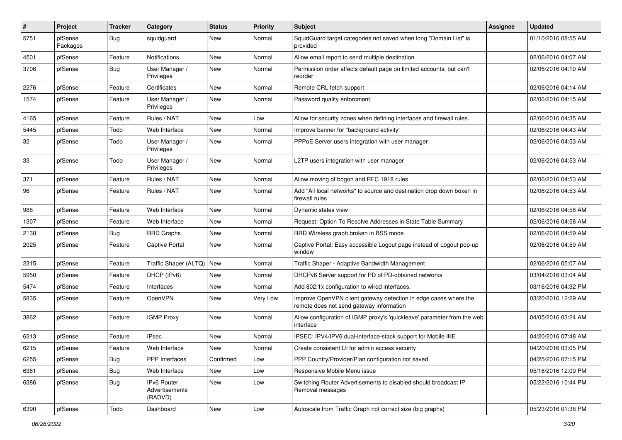| $\sharp$ | Project             | <b>Tracker</b> | Category                                 | <b>Status</b> | <b>Priority</b> | <b>Subject</b>                                                                                               | <b>Assignee</b> | <b>Updated</b>      |
|----------|---------------------|----------------|------------------------------------------|---------------|-----------------|--------------------------------------------------------------------------------------------------------------|-----------------|---------------------|
| 5751     | pfSense<br>Packages | <b>Bug</b>     | squidguard                               | New           | Normal          | SquidGuard target categories not saved when long "Domain List" is<br>provided                                |                 | 01/10/2016 08:55 AM |
| 4501     | pfSense             | Feature        | Notifications                            | New           | Normal          | Allow email report to send multiple destination                                                              |                 | 02/06/2016 04:07 AM |
| 3706     | pfSense             | <b>Bug</b>     | User Manager /<br>Privileges             | New           | Normal          | Permission order affects default page on limited accounts, but can't<br>reorder                              |                 | 02/06/2016 04:10 AM |
| 2276     | pfSense             | Feature        | Certificates                             | <b>New</b>    | Normal          | Remote CRL fetch support                                                                                     |                 | 02/06/2016 04:14 AM |
| 1574     | pfSense             | Feature        | User Manager /<br>Privileges             | New           | Normal          | Password quality enforcment.                                                                                 |                 | 02/06/2016 04:15 AM |
| 4165     | pfSense             | Feature        | Rules / NAT                              | New           | Low             | Allow for security zones when defining interfaces and firewall rules.                                        |                 | 02/06/2016 04:35 AM |
| 5445     | pfSense             | Todo           | Web Interface                            | <b>New</b>    | Normal          | Improve banner for "background activity"                                                                     |                 | 02/06/2016 04:43 AM |
| 32       | pfSense             | Todo           | User Manager /<br>Privileges             | New           | Normal          | PPPoE Server users integration with user manager                                                             |                 | 02/06/2016 04:53 AM |
| 33       | pfSense             | Todo           | User Manager /<br>Privileges             | <b>New</b>    | Normal          | L2TP users integration with user manager                                                                     |                 | 02/06/2016 04:53 AM |
| 371      | pfSense             | Feature        | Rules / NAT                              | New           | Normal          | Allow moving of bogon and RFC 1918 rules                                                                     |                 | 02/06/2016 04:53 AM |
| 96       | pfSense             | Feature        | Rules / NAT                              | <b>New</b>    | Normal          | Add "All local networks" to source and destination drop down boxen in<br>firewall rules                      |                 | 02/06/2016 04:53 AM |
| 986      | pfSense             | Feature        | Web Interface                            | <b>New</b>    | Normal          | Dynamic states view                                                                                          |                 | 02/06/2016 04:58 AM |
| 1307     | pfSense             | Feature        | Web Interface                            | New           | Normal          | Request: Option To Resolve Addresses in State Table Summary                                                  |                 | 02/06/2016 04:58 AM |
| 2138     | pfSense             | <b>Bug</b>     | <b>RRD Graphs</b>                        | New           | Normal          | RRD Wireless graph broken in BSS mode                                                                        |                 | 02/06/2016 04:59 AM |
| 2025     | pfSense             | Feature        | <b>Captive Portal</b>                    | <b>New</b>    | Normal          | Captive Portal: Easy accessible Logout page instead of Logout pop-up<br>window                               |                 | 02/06/2016 04:59 AM |
| 2315     | pfSense             | Feature        | Traffic Shaper (ALTQ)   New              |               | Normal          | Traffic Shaper - Adaptive Bandwidth Management                                                               |                 | 02/06/2016 05:07 AM |
| 5950     | pfSense             | Feature        | DHCP (IPv6)                              | <b>New</b>    | Normal          | DHCPv6 Server support for PD of PD-obtained networks                                                         |                 | 03/04/2016 03:04 AM |
| 5474     | pfSense             | Feature        | Interfaces                               | New           | Normal          | Add 802.1x configuration to wired interfaces.                                                                |                 | 03/16/2016 04:32 PM |
| 5835     | pfSense             | Feature        | OpenVPN                                  | New           | Very Low        | Improve OpenVPN client gateway detection in edge cases where the<br>remote does not send gateway information |                 | 03/20/2016 12:29 AM |
| 3862     | pfSense             | Feature        | <b>IGMP Proxy</b>                        | New           | Normal          | Allow configuration of IGMP proxy's 'quickleave' parameter from the web<br>interface                         |                 | 04/05/2016 03:24 AM |
| 6213     | pfSense             | Feature        | <b>IPsec</b>                             | New           | Normal          | IPSEC: IPV4/IPV6 dual-interface-stack support for Mobile IKE                                                 |                 | 04/20/2016 07:48 AM |
| 6215     | pfSense             | Feature        | Web Interface                            | New           | Normal          | Create consistent UI for admin access security                                                               |                 | 04/20/2016 03:05 PM |
| 6255     | pfSense             | Bug            | PPP Interfaces                           | Confirmed     | Low             | PPP Country/Provider/Plan configuration not saved                                                            |                 | 04/25/2016 07:15 PM |
| 6361     | pfSense             | <b>Bug</b>     | Web Interface                            | New           | Low             | Responsive Mobile Menu issue                                                                                 |                 | 05/16/2016 12:09 PM |
| 6386     | pfSense             | <b>Bug</b>     | IPv6 Router<br>Advertisements<br>(RADVD) | New           | Low             | Switching Router Advertisements to disabled should broadcast IP<br>Removal messages                          |                 | 05/22/2016 10:44 PM |
| 6390     | pfSense             | Todo           | Dashboard                                | New           | Low             | Autoscale from Traffic Graph not correct size (big graphs)                                                   |                 | 05/23/2016 01:38 PM |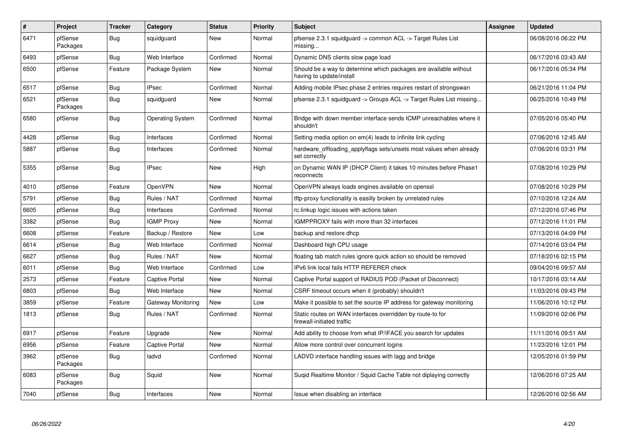| #    | Project             | <b>Tracker</b> | Category                | <b>Status</b> | <b>Priority</b> | <b>Subject</b>                                                                                | <b>Assignee</b> | <b>Updated</b>      |
|------|---------------------|----------------|-------------------------|---------------|-----------------|-----------------------------------------------------------------------------------------------|-----------------|---------------------|
| 6471 | pfSense<br>Packages | <b>Bug</b>     | squidquard              | <b>New</b>    | Normal          | pfsense 2.3.1 squidguard -> common ACL -> Target Rules List<br>missing                        |                 | 06/08/2016 06:22 PM |
| 6493 | pfSense             | Bug            | Web Interface           | Confirmed     | Normal          | Dynamic DNS clients slow page load                                                            |                 | 06/17/2016 03:43 AM |
| 6500 | pfSense             | Feature        | Package System          | <b>New</b>    | Normal          | Should be a way to determine which packages are available without<br>having to update/install |                 | 06/17/2016 05:34 PM |
| 6517 | pfSense             | Bug            | <b>IPsec</b>            | Confirmed     | Normal          | Adding mobile IPsec phase 2 entries requires restart of strongswan                            |                 | 06/21/2016 11:04 PM |
| 6521 | pfSense<br>Packages | Bug            | squidquard              | <b>New</b>    | Normal          | pfsense 2.3.1 squidquard -> Groups ACL -> Target Rules List missing                           |                 | 06/25/2016 10:49 PM |
| 6580 | pfSense             | <b>Bug</b>     | <b>Operating System</b> | Confirmed     | Normal          | Bridge with down member interface sends ICMP unreachables where it<br>shouldn't               |                 | 07/05/2016 05:40 PM |
| 4428 | pfSense             | Bug            | Interfaces              | Confirmed     | Normal          | Setting media option on em(4) leads to infinite link cycling                                  |                 | 07/06/2016 12:45 AM |
| 5887 | pfSense             | <b>Bug</b>     | Interfaces              | Confirmed     | Normal          | hardware_offloading_applyflags sets/unsets most values when already<br>set correctly          |                 | 07/06/2016 03:31 PM |
| 5355 | pfSense             | Bug            | <b>IPsec</b>            | <b>New</b>    | High            | on Dynamic WAN IP (DHCP Client) it takes 10 minutes before Phase1<br>reconnects               |                 | 07/08/2016 10:29 PM |
| 4010 | pfSense             | Feature        | OpenVPN                 | <b>New</b>    | Normal          | OpenVPN always loads engines available on openssl                                             |                 | 07/08/2016 10:29 PM |
| 5791 | pfSense             | <b>Bug</b>     | Rules / NAT             | Confirmed     | Normal          | tftp-proxy functionality is easilly broken by unrelated rules                                 |                 | 07/10/2016 12:24 AM |
| 6605 | pfSense             | Bug            | Interfaces              | Confirmed     | Normal          | rc.linkup logic issues with actions taken                                                     |                 | 07/12/2016 07:46 PM |
| 3382 | pfSense             | Bug            | <b>IGMP Proxy</b>       | <b>New</b>    | Normal          | IGMPPROXY fails with more than 32 interfaces                                                  |                 | 07/12/2016 11:01 PM |
| 6608 | pfSense             | Feature        | Backup / Restore        | <b>New</b>    | Low             | backup and restore dhcp                                                                       |                 | 07/13/2016 04:09 PM |
| 6614 | pfSense             | <b>Bug</b>     | Web Interface           | Confirmed     | Normal          | Dashboard high CPU usage                                                                      |                 | 07/14/2016 03:04 PM |
| 6627 | pfSense             | Bug            | Rules / NAT             | <b>New</b>    | Normal          | floating tab match rules ignore quick action so should be removed                             |                 | 07/18/2016 02:15 PM |
| 6011 | pfSense             | <b>Bug</b>     | Web Interface           | Confirmed     | Low             | IPv6 link local fails HTTP REFERER check                                                      |                 | 09/04/2016 09:57 AM |
| 2573 | pfSense             | Feature        | Captive Portal          | New           | Normal          | Captive Portal support of RADIUS POD (Packet of Disconnect)                                   |                 | 10/17/2016 03:14 AM |
| 6803 | pfSense             | Bug            | Web Interface           | New           | Normal          | CSRF timeout occurs when it (probably) shouldn't                                              |                 | 11/03/2016 09:43 PM |
| 3859 | pfSense             | Feature        | Gateway Monitoring      | <b>New</b>    | Low             | Make it possible to set the source IP address for gateway monitoring                          |                 | 11/06/2016 10:12 PM |
| 1813 | pfSense             | <b>Bug</b>     | Rules / NAT             | Confirmed     | Normal          | Static routes on WAN interfaces overridden by route-to for<br>firewall-initiated traffic      |                 | 11/09/2016 02:06 PM |
| 6917 | pfSense             | Feature        | Upgrade                 | <b>New</b>    | Normal          | Add ability to choose from what IP/IFACE you search for updates                               |                 | 11/11/2016 09:51 AM |
| 6956 | pfSense             | Feature        | <b>Captive Portal</b>   | <b>New</b>    | Normal          | Allow more control over concurrent logins                                                     |                 | 11/23/2016 12:01 PM |
| 3962 | pfSense<br>Packages | <b>Bug</b>     | ladvd                   | Confirmed     | Normal          | LADVD interface handling issues with lagg and bridge                                          |                 | 12/05/2016 01:59 PM |
| 6083 | pfSense<br>Packages | <b>Bug</b>     | Squid                   | <b>New</b>    | Normal          | Sugid Realtime Monitor / Squid Cache Table not diplaying correctly                            |                 | 12/06/2016 07:25 AM |
| 7040 | pfSense             | Bug            | Interfaces              | <b>New</b>    | Normal          | Issue when disabling an interface                                                             |                 | 12/26/2016 02:56 AM |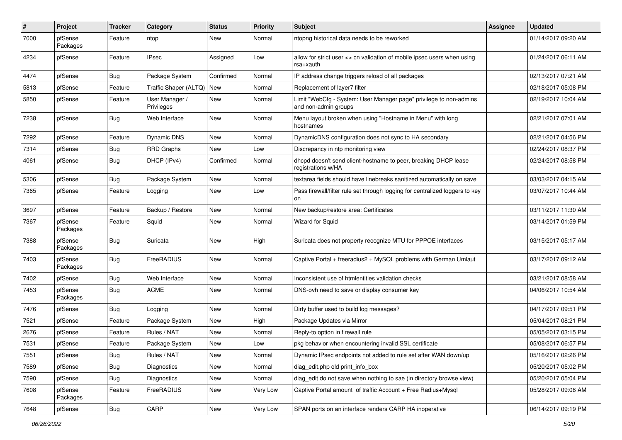| #    | Project             | <b>Tracker</b> | Category                     | <b>Status</b> | <b>Priority</b> | <b>Subject</b>                                                                             | <b>Assignee</b> | <b>Updated</b>      |
|------|---------------------|----------------|------------------------------|---------------|-----------------|--------------------------------------------------------------------------------------------|-----------------|---------------------|
| 7000 | pfSense<br>Packages | Feature        | ntop                         | New           | Normal          | ntopng historical data needs to be reworked                                                |                 | 01/14/2017 09:20 AM |
| 4234 | pfSense             | Feature        | <b>IPsec</b>                 | Assigned      | Low             | allow for strict user <> cn validation of mobile ipsec users when using<br>rsa+xauth       |                 | 01/24/2017 06:11 AM |
| 4474 | pfSense             | <b>Bug</b>     | Package System               | Confirmed     | Normal          | IP address change triggers reload of all packages                                          |                 | 02/13/2017 07:21 AM |
| 5813 | pfSense             | Feature        | Traffic Shaper (ALTQ)        | New           | Normal          | Replacement of layer7 filter                                                               |                 | 02/18/2017 05:08 PM |
| 5850 | pfSense             | Feature        | User Manager /<br>Privileges | New           | Normal          | Limit "WebCfg - System: User Manager page" privilege to non-admins<br>and non-admin groups |                 | 02/19/2017 10:04 AM |
| 7238 | pfSense             | Bug            | Web Interface                | New           | Normal          | Menu layout broken when using "Hostname in Menu" with long<br>hostnames                    |                 | 02/21/2017 07:01 AM |
| 7292 | pfSense             | Feature        | <b>Dynamic DNS</b>           | New           | Normal          | DynamicDNS configuration does not sync to HA secondary                                     |                 | 02/21/2017 04:56 PM |
| 7314 | pfSense             | <b>Bug</b>     | <b>RRD Graphs</b>            | New           | Low             | Discrepancy in ntp monitoring view                                                         |                 | 02/24/2017 08:37 PM |
| 4061 | pfSense             | <b>Bug</b>     | DHCP (IPv4)                  | Confirmed     | Normal          | dhcpd doesn't send client-hostname to peer, breaking DHCP lease<br>registrations w/HA      |                 | 02/24/2017 08:58 PM |
| 5306 | pfSense             | Bug            | Package System               | New           | Normal          | textarea fields should have linebreaks sanitized automatically on save                     |                 | 03/03/2017 04:15 AM |
| 7365 | pfSense             | Feature        | Logging                      | New           | Low             | Pass firewall/filter rule set through logging for centralized loggers to key<br>on         |                 | 03/07/2017 10:44 AM |
| 3697 | pfSense             | Feature        | Backup / Restore             | New           | Normal          | New backup/restore area: Certificates                                                      |                 | 03/11/2017 11:30 AM |
| 7367 | pfSense<br>Packages | Feature        | Squid                        | New           | Normal          | Wizard for Squid                                                                           |                 | 03/14/2017 01:59 PM |
| 7388 | pfSense<br>Packages | <b>Bug</b>     | Suricata                     | New           | High            | Suricata does not property recognize MTU for PPPOE interfaces                              |                 | 03/15/2017 05:17 AM |
| 7403 | pfSense<br>Packages | <b>Bug</b>     | FreeRADIUS                   | New           | Normal          | Captive Portal + freeradius2 + MySQL problems with German Umlaut                           |                 | 03/17/2017 09:12 AM |
| 7402 | pfSense             | <b>Bug</b>     | Web Interface                | New           | Normal          | Inconsistent use of htmlentities validation checks                                         |                 | 03/21/2017 08:58 AM |
| 7453 | pfSense<br>Packages | Bug            | <b>ACME</b>                  | New           | Normal          | DNS-ovh need to save or display consumer key                                               |                 | 04/06/2017 10:54 AM |
| 7476 | pfSense             | Bug            | Logging                      | New           | Normal          | Dirty buffer used to build log messages?                                                   |                 | 04/17/2017 09:51 PM |
| 7521 | pfSense             | Feature        | Package System               | New           | High            | Package Updates via Mirror                                                                 |                 | 05/04/2017 08:21 PM |
| 2676 | pfSense             | Feature        | Rules / NAT                  | New           | Normal          | Reply-to option in firewall rule                                                           |                 | 05/05/2017 03:15 PM |
| 7531 | pfSense             | Feature        | Package System               | New           | Low             | pkg behavior when encountering invalid SSL certificate                                     |                 | 05/08/2017 06:57 PM |
| 7551 | pfSense             | <b>Bug</b>     | Rules / NAT                  | New           | Normal          | Dynamic IPsec endpoints not added to rule set after WAN down/up                            |                 | 05/16/2017 02:26 PM |
| 7589 | pfSense             | <b>Bug</b>     | Diagnostics                  | New           | Normal          | diag edit.php old print info box                                                           |                 | 05/20/2017 05:02 PM |
| 7590 | pfSense             | Bug            | Diagnostics                  | New           | Normal          | diag_edit do not save when nothing to sae (in directory browse view)                       |                 | 05/20/2017 05:04 PM |
| 7608 | pfSense<br>Packages | Feature        | FreeRADIUS                   | New           | Very Low        | Captive Portal amount of traffic Account + Free Radius+Mysql                               |                 | 05/28/2017 09:08 AM |
| 7648 | pfSense             | <b>Bug</b>     | CARP                         | New           | Very Low        | SPAN ports on an interface renders CARP HA inoperative                                     |                 | 06/14/2017 09:19 PM |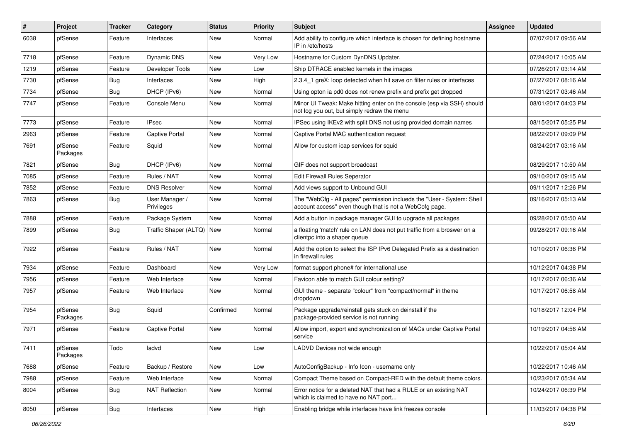| $\vert$ # | Project             | <b>Tracker</b> | Category                     | <b>Status</b> | <b>Priority</b> | Subject                                                                                                                           | Assignee | <b>Updated</b>      |
|-----------|---------------------|----------------|------------------------------|---------------|-----------------|-----------------------------------------------------------------------------------------------------------------------------------|----------|---------------------|
| 6038      | pfSense             | Feature        | Interfaces                   | New           | Normal          | Add ability to configure which interface is chosen for defining hostname<br>IP in /etc/hosts                                      |          | 07/07/2017 09:56 AM |
| 7718      | pfSense             | Feature        | <b>Dynamic DNS</b>           | <b>New</b>    | Very Low        | Hostname for Custom DynDNS Updater.                                                                                               |          | 07/24/2017 10:05 AM |
| 1219      | pfSense             | Feature        | Developer Tools              | <b>New</b>    | Low             | Ship DTRACE enabled kernels in the images                                                                                         |          | 07/26/2017 03:14 AM |
| 7730      | pfSense             | Bug            | Interfaces                   | <b>New</b>    | High            | 2.3.4_1 greX: loop detected when hit save on filter rules or interfaces                                                           |          | 07/27/2017 08:16 AM |
| 7734      | pfSense             | Bug            | DHCP (IPv6)                  | New           | Normal          | Using opton ia pd0 does not renew prefix and prefix get dropped                                                                   |          | 07/31/2017 03:46 AM |
| 7747      | pfSense             | Feature        | Console Menu                 | <b>New</b>    | Normal          | Minor UI Tweak: Make hitting enter on the console (esp via SSH) should<br>not log you out, but simply redraw the menu             |          | 08/01/2017 04:03 PM |
| 7773      | pfSense             | Feature        | <b>IPsec</b>                 | New           | Normal          | IPSec using IKEv2 with split DNS not using provided domain names                                                                  |          | 08/15/2017 05:25 PM |
| 2963      | pfSense             | Feature        | Captive Portal               | <b>New</b>    | Normal          | Captive Portal MAC authentication request                                                                                         |          | 08/22/2017 09:09 PM |
| 7691      | pfSense<br>Packages | Feature        | Squid                        | <b>New</b>    | Normal          | Allow for custom icap services for squid                                                                                          |          | 08/24/2017 03:16 AM |
| 7821      | pfSense             | <b>Bug</b>     | DHCP (IPv6)                  | <b>New</b>    | Normal          | GIF does not support broadcast                                                                                                    |          | 08/29/2017 10:50 AM |
| 7085      | pfSense             | Feature        | Rules / NAT                  | New           | Normal          | Edit Firewall Rules Seperator                                                                                                     |          | 09/10/2017 09:15 AM |
| 7852      | pfSense             | Feature        | <b>DNS Resolver</b>          | <b>New</b>    | Normal          | Add views support to Unbound GUI                                                                                                  |          | 09/11/2017 12:26 PM |
| 7863      | pfSense             | Bug            | User Manager /<br>Privileges | <b>New</b>    | Normal          | The "WebCfg - All pages" permission inclueds the "User - System: Shell<br>account access" even though that is not a WebCofg page. |          | 09/16/2017 05:13 AM |
| 7888      | pfSense             | Feature        | Package System               | New           | Normal          | Add a button in package manager GUI to upgrade all packages                                                                       |          | 09/28/2017 05:50 AM |
| 7899      | pfSense             | Bug            | Traffic Shaper (ALTQ)        | New           | Normal          | a floating 'match' rule on LAN does not put traffic from a broswer on a<br>clientpc into a shaper queue                           |          | 09/28/2017 09:16 AM |
| 7922      | pfSense             | Feature        | Rules / NAT                  | <b>New</b>    | Normal          | Add the option to select the ISP IPv6 Delegated Prefix as a destination<br>in firewall rules                                      |          | 10/10/2017 06:36 PM |
| 7934      | pfSense             | Feature        | Dashboard                    | <b>New</b>    | Very Low        | format support phone# for international use                                                                                       |          | 10/12/2017 04:38 PM |
| 7956      | pfSense             | Feature        | Web Interface                | <b>New</b>    | Normal          | Favicon able to match GUI colour setting?                                                                                         |          | 10/17/2017 06:36 AM |
| 7957      | pfSense             | Feature        | Web Interface                | <b>New</b>    | Normal          | GUI theme - separate "colour" from "compact/normal" in theme<br>dropdown                                                          |          | 10/17/2017 06:58 AM |
| 7954      | pfSense<br>Packages | <b>Bug</b>     | Squid                        | Confirmed     | Normal          | Package upgrade/reinstall gets stuck on deinstall if the<br>package-provided service is not running                               |          | 10/18/2017 12:04 PM |
| 7971      | pfSense             | Feature        | <b>Captive Portal</b>        | <b>New</b>    | Normal          | Allow import, export and synchronization of MACs under Captive Portal<br>service                                                  |          | 10/19/2017 04:56 AM |
| 7411      | pfSense<br>Packages | Todo           | ladvd                        | New           | Low             | LADVD Devices not wide enough                                                                                                     |          | 10/22/2017 05:04 AM |
| 7688      | pfSense             | Feature        | Backup / Restore             | New           | Low             | AutoConfigBackup - Info Icon - username only                                                                                      |          | 10/22/2017 10:46 AM |
| 7988      | pfSense             | Feature        | Web Interface                | New           | Normal          | Compact Theme based on Compact-RED with the default theme colors.                                                                 |          | 10/23/2017 05:34 AM |
| 8004      | pfSense             | <b>Bug</b>     | <b>NAT Reflection</b>        | New           | Normal          | Error notice for a deleted NAT that had a RULE or an existing NAT<br>which is claimed to have no NAT port                         |          | 10/24/2017 06:39 PM |
| 8050      | pfSense             | Bug            | Interfaces                   | New           | High            | Enabling bridge while interfaces have link freezes console                                                                        |          | 11/03/2017 04:38 PM |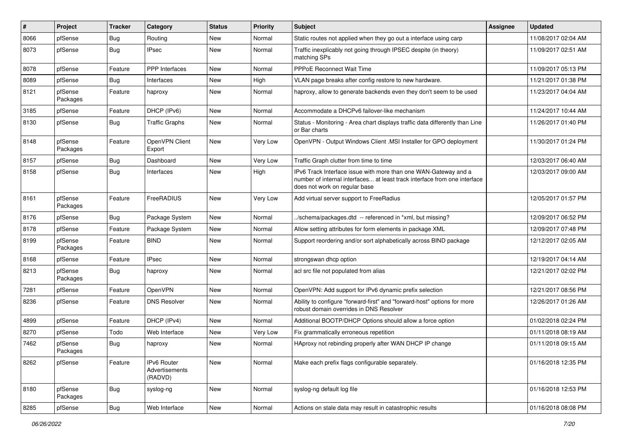| #    | Project             | <b>Tracker</b> | Category                                 | <b>Status</b> | <b>Priority</b> | <b>Subject</b>                                                                                                                                                                | Assignee | <b>Updated</b>      |
|------|---------------------|----------------|------------------------------------------|---------------|-----------------|-------------------------------------------------------------------------------------------------------------------------------------------------------------------------------|----------|---------------------|
| 8066 | pfSense             | Bug            | Routing                                  | New           | Normal          | Static routes not applied when they go out a interface using carp                                                                                                             |          | 11/08/2017 02:04 AM |
| 8073 | pfSense             | <b>Bug</b>     | <b>IPsec</b>                             | New           | Normal          | Traffic inexplicably not going through IPSEC despite (in theory)<br>matching SPs                                                                                              |          | 11/09/2017 02:51 AM |
| 8078 | pfSense             | Feature        | PPP Interfaces                           | New           | Normal          | <b>PPPoE Reconnect Wait Time</b>                                                                                                                                              |          | 11/09/2017 05:13 PM |
| 8089 | pfSense             | <b>Bug</b>     | Interfaces                               | <b>New</b>    | High            | VLAN page breaks after config restore to new hardware.                                                                                                                        |          | 11/21/2017 01:38 PM |
| 8121 | pfSense<br>Packages | Feature        | haproxy                                  | New           | Normal          | haproxy, allow to generate backends even they don't seem to be used                                                                                                           |          | 11/23/2017 04:04 AM |
| 3185 | pfSense             | Feature        | DHCP (IPv6)                              | New           | Normal          | Accommodate a DHCPv6 failover-like mechanism                                                                                                                                  |          | 11/24/2017 10:44 AM |
| 8130 | pfSense             | Bug            | <b>Traffic Graphs</b>                    | New           | Normal          | Status - Monitoring - Area chart displays traffic data differently than Line<br>or Bar charts                                                                                 |          | 11/26/2017 01:40 PM |
| 8148 | pfSense<br>Packages | Feature        | OpenVPN Client<br>Export                 | New           | Very Low        | OpenVPN - Output Windows Client .MSI Installer for GPO deployment                                                                                                             |          | 11/30/2017 01:24 PM |
| 8157 | pfSense             | <b>Bug</b>     | Dashboard                                | New           | Very Low        | Traffic Graph clutter from time to time                                                                                                                                       |          | 12/03/2017 06:40 AM |
| 8158 | pfSense             | Bug            | Interfaces                               | New           | High            | IPv6 Track Interface issue with more than one WAN-Gateway and a<br>number of internal interfaces at least track interface from one interface<br>does not work on regular base |          | 12/03/2017 09:00 AM |
| 8161 | pfSense<br>Packages | Feature        | FreeRADIUS                               | New           | Very Low        | Add virtual server support to FreeRadius                                                                                                                                      |          | 12/05/2017 01:57 PM |
| 8176 | pfSense             | Bug            | Package System                           | New           | Normal          | ./schema/packages.dtd -- referenced in *xml, but missing?                                                                                                                     |          | 12/09/2017 06:52 PM |
| 8178 | pfSense             | Feature        | Package System                           | New           | Normal          | Allow setting attributes for form elements in package XML                                                                                                                     |          | 12/09/2017 07:48 PM |
| 8199 | pfSense<br>Packages | Feature        | <b>BIND</b>                              | New           | Normal          | Support reordering and/or sort alphabetically across BIND package                                                                                                             |          | 12/12/2017 02:05 AM |
| 8168 | pfSense             | Feature        | <b>IPsec</b>                             | New           | Normal          | strongswan dhcp option                                                                                                                                                        |          | 12/19/2017 04:14 AM |
| 8213 | pfSense<br>Packages | Bug            | haproxy                                  | New           | Normal          | acl src file not populated from alias                                                                                                                                         |          | 12/21/2017 02:02 PM |
| 7281 | pfSense             | Feature        | OpenVPN                                  | New           | Normal          | OpenVPN: Add support for IPv6 dynamic prefix selection                                                                                                                        |          | 12/21/2017 08:56 PM |
| 8236 | pfSense             | Feature        | <b>DNS Resolver</b>                      | New           | Normal          | Ability to configure "forward-first" and "forward-host" options for more<br>robust domain overrides in DNS Resolver                                                           |          | 12/26/2017 01:26 AM |
| 4899 | pfSense             | Feature        | DHCP (IPv4)                              | <b>New</b>    | Normal          | Additional BOOTP/DHCP Options should allow a force option                                                                                                                     |          | 01/02/2018 02:24 PM |
| 8270 | pfSense             | Todo           | Web Interface                            | New           | Very Low        | Fix grammatically erroneous repetition                                                                                                                                        |          | 01/11/2018 08:19 AM |
| 7462 | pfSense<br>Packages | Bug            | haproxy                                  | New           | Normal          | HAproxy not rebinding properly after WAN DHCP IP change                                                                                                                       |          | 01/11/2018 09:15 AM |
| 8262 | pfSense             | Feature        | IPv6 Router<br>Advertisements<br>(RADVD) | New           | Normal          | Make each prefix flags configurable separately.                                                                                                                               |          | 01/16/2018 12:35 PM |
| 8180 | pfSense<br>Packages | <b>Bug</b>     | syslog-ng                                | New           | Normal          | syslog-ng default log file                                                                                                                                                    |          | 01/16/2018 12:53 PM |
| 8285 | pfSense             | <b>Bug</b>     | Web Interface                            | New           | Normal          | Actions on stale data may result in catastrophic results                                                                                                                      |          | 01/16/2018 08:08 PM |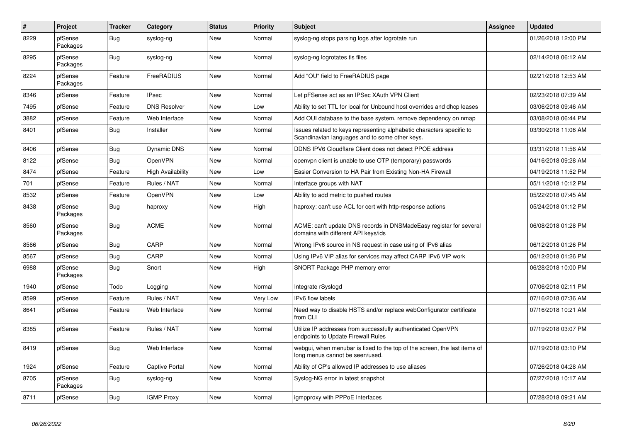| $\vert$ # | Project             | <b>Tracker</b> | Category            | <b>Status</b> | <b>Priority</b> | <b>Subject</b>                                                                                                          | Assignee | <b>Updated</b>      |
|-----------|---------------------|----------------|---------------------|---------------|-----------------|-------------------------------------------------------------------------------------------------------------------------|----------|---------------------|
| 8229      | pfSense<br>Packages | <b>Bug</b>     | syslog-ng           | New           | Normal          | syslog-ng stops parsing logs after logrotate run                                                                        |          | 01/26/2018 12:00 PM |
| 8295      | pfSense<br>Packages | Bug            | syslog-ng           | <b>New</b>    | Normal          | syslog-ng logrotates tls files                                                                                          |          | 02/14/2018 06:12 AM |
| 8224      | pfSense<br>Packages | Feature        | FreeRADIUS          | <b>New</b>    | Normal          | Add "OU" field to FreeRADIUS page                                                                                       |          | 02/21/2018 12:53 AM |
| 8346      | pfSense             | Feature        | <b>IPsec</b>        | <b>New</b>    | Normal          | Let pFSense act as an IPSec XAuth VPN Client                                                                            |          | 02/23/2018 07:39 AM |
| 7495      | pfSense             | Feature        | <b>DNS Resolver</b> | <b>New</b>    | Low             | Ability to set TTL for local for Unbound host overrides and dhop leases                                                 |          | 03/06/2018 09:46 AM |
| 3882      | pfSense             | Feature        | Web Interface       | New           | Normal          | Add OUI database to the base system, remove dependency on nmap                                                          |          | 03/08/2018 06:44 PM |
| 8401      | pfSense             | <b>Bug</b>     | Installer           | <b>New</b>    | Normal          | Issues related to keys representing alphabetic characters specific to<br>Scandinavian languages and to some other keys. |          | 03/30/2018 11:06 AM |
| 8406      | pfSense             | <b>Bug</b>     | <b>Dynamic DNS</b>  | <b>New</b>    | Normal          | DDNS IPV6 Cloudflare Client does not detect PPOE address                                                                |          | 03/31/2018 11:56 AM |
| 8122      | pfSense             | <b>Bug</b>     | OpenVPN             | <b>New</b>    | Normal          | openypn client is unable to use OTP (temporary) passwords                                                               |          | 04/16/2018 09:28 AM |
| 8474      | pfSense             | Feature        | High Availability   | <b>New</b>    | Low             | Easier Conversion to HA Pair from Existing Non-HA Firewall                                                              |          | 04/19/2018 11:52 PM |
| 701       | pfSense             | Feature        | Rules / NAT         | <b>New</b>    | Normal          | Interface groups with NAT                                                                                               |          | 05/11/2018 10:12 PM |
| 8532      | pfSense             | Feature        | <b>OpenVPN</b>      | New           | Low             | Ability to add metric to pushed routes                                                                                  |          | 05/22/2018 07:45 AM |
| 8438      | pfSense<br>Packages | Bug            | haproxy             | New           | High            | haproxy: can't use ACL for cert with http-response actions                                                              |          | 05/24/2018 01:12 PM |
| 8560      | pfSense<br>Packages | <b>Bug</b>     | <b>ACME</b>         | <b>New</b>    | Normal          | ACME: can't update DNS records in DNSMadeEasy registar for several<br>domains with different API keys/ids               |          | 06/08/2018 01:28 PM |
| 8566      | pfSense             | <b>Bug</b>     | CARP                | <b>New</b>    | Normal          | Wrong IPv6 source in NS request in case using of IPv6 alias                                                             |          | 06/12/2018 01:26 PM |
| 8567      | pfSense             | Bug            | CARP                | <b>New</b>    | Normal          | Using IPv6 VIP alias for services may affect CARP IPv6 VIP work                                                         |          | 06/12/2018 01:26 PM |
| 6988      | pfSense<br>Packages | <b>Bug</b>     | Snort               | New           | High            | SNORT Package PHP memory error                                                                                          |          | 06/28/2018 10:00 PM |
| 1940      | pfSense             | Todo           | Logging             | New           | Normal          | Integrate rSyslogd                                                                                                      |          | 07/06/2018 02:11 PM |
| 8599      | pfSense             | Feature        | Rules / NAT         | <b>New</b>    | Very Low        | <b>IPv6</b> flow labels                                                                                                 |          | 07/16/2018 07:36 AM |
| 8641      | pfSense             | Feature        | Web Interface       | <b>New</b>    | Normal          | Need way to disable HSTS and/or replace webConfigurator certificate<br>from CLI                                         |          | 07/16/2018 10:21 AM |
| 8385      | pfSense             | Feature        | Rules / NAT         | <b>New</b>    | Normal          | Utilize IP addresses from successfully authenticated OpenVPN<br>endpoints to Update Firewall Rules                      |          | 07/19/2018 03:07 PM |
| 8419      | pfSense             | Bug            | Web Interface       | <b>New</b>    | Normal          | webgui, when menubar is fixed to the top of the screen, the last items of<br>long menus cannot be seen/used.            |          | 07/19/2018 03:10 PM |
| 1924      | pfSense             | Feature        | Captive Portal      | New           | Normal          | Ability of CP's allowed IP addresses to use aliases                                                                     |          | 07/26/2018 04:28 AM |
| 8705      | pfSense<br>Packages | <b>Bug</b>     | syslog-ng           | New           | Normal          | Syslog-NG error in latest snapshot                                                                                      |          | 07/27/2018 10:17 AM |
| 8711      | pfSense             | <b>Bug</b>     | <b>IGMP Proxy</b>   | New           | Normal          | igmpproxy with PPPoE Interfaces                                                                                         |          | 07/28/2018 09:21 AM |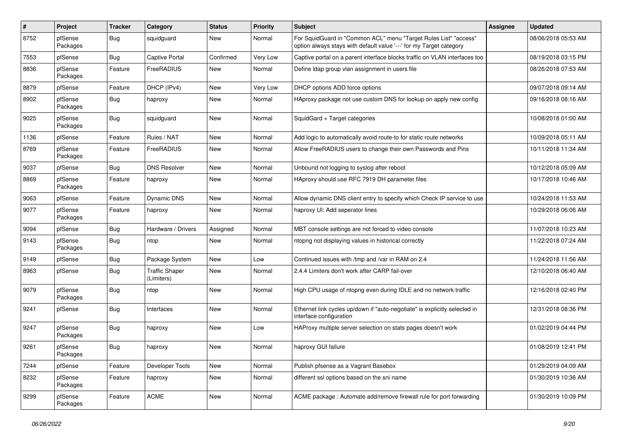| #    | Project             | <b>Tracker</b> | Category                            | <b>Status</b> | <b>Priority</b> | Subject                                                                                                                                 | <b>Assignee</b> | <b>Updated</b>      |
|------|---------------------|----------------|-------------------------------------|---------------|-----------------|-----------------------------------------------------------------------------------------------------------------------------------------|-----------------|---------------------|
| 8752 | pfSense<br>Packages | <b>Bug</b>     | squidguard                          | New           | Normal          | For SquidGuard in "Common ACL" menu "Target Rules List" "access"<br>option always stays with default value '---' for my Target category |                 | 08/06/2018 05:53 AM |
| 7553 | pfSense             | Bug            | Captive Portal                      | Confirmed     | Very Low        | Captive portal on a parent interface blocks traffic on VLAN interfaces too                                                              |                 | 08/19/2018 03:15 PM |
| 8836 | pfSense<br>Packages | Feature        | FreeRADIUS                          | <b>New</b>    | Normal          | Define Idap group vlan assignment in users file                                                                                         |                 | 08/26/2018 07:53 AM |
| 8879 | pfSense             | Feature        | DHCP (IPv4)                         | <b>New</b>    | Very Low        | DHCP options ADD force options                                                                                                          |                 | 09/07/2018 09:14 AM |
| 8902 | pfSense<br>Packages | <b>Bug</b>     | haproxy                             | New           | Normal          | HAproxy package not use custom DNS for lookup on apply new config                                                                       |                 | 09/16/2018 08:16 AM |
| 9025 | pfSense<br>Packages | <b>Bug</b>     | squidguard                          | New           | Normal          | SquidGard + Target categories                                                                                                           |                 | 10/08/2018 01:00 AM |
| 1136 | pfSense             | Feature        | Rules / NAT                         | <b>New</b>    | Normal          | Add logic to automatically avoid route-to for static route networks                                                                     |                 | 10/09/2018 05:11 AM |
| 8769 | pfSense<br>Packages | Feature        | FreeRADIUS                          | <b>New</b>    | Normal          | Allow FreeRADIUS users to change their own Passwords and Pins                                                                           |                 | 10/11/2018 11:34 AM |
| 9037 | pfSense             | Bug            | <b>DNS Resolver</b>                 | New           | Normal          | Unbound not logging to syslog after reboot                                                                                              |                 | 10/12/2018 05:09 AM |
| 8869 | pfSense<br>Packages | Feature        | haproxy                             | New           | Normal          | HAproxy should use RFC 7919 DH parameter files                                                                                          |                 | 10/17/2018 10:46 AM |
| 9063 | pfSense             | Feature        | Dynamic DNS                         | <b>New</b>    | Normal          | Allow dynamic DNS client entry to specify which Check IP service to use                                                                 |                 | 10/24/2018 11:53 AM |
| 9077 | pfSense<br>Packages | Feature        | haproxy                             | New           | Normal          | haproxy UI: Add seperator lines                                                                                                         |                 | 10/29/2018 06:06 AM |
| 9094 | pfSense             | Bug            | Hardware / Drivers                  | Assigned      | Normal          | MBT console settings are not forced to video console                                                                                    |                 | 11/07/2018 10:23 AM |
| 9143 | pfSense<br>Packages | <b>Bug</b>     | ntop                                | <b>New</b>    | Normal          | ntopng not displaying values in historical correctly                                                                                    |                 | 11/22/2018 07:24 AM |
| 9149 | pfSense             | <b>Bug</b>     | Package System                      | <b>New</b>    | Low             | Continued issues with /tmp and /var in RAM on 2.4                                                                                       |                 | 11/24/2018 11:56 AM |
| 8963 | pfSense             | <b>Bug</b>     | <b>Traffic Shaper</b><br>(Limiters) | New           | Normal          | 2.4.4 Limiters don't work after CARP fail-over                                                                                          |                 | 12/10/2018 06:40 AM |
| 9079 | pfSense<br>Packages | <b>Bug</b>     | ntop                                | New           | Normal          | High CPU usage of ntopng even during IDLE and no network traffic                                                                        |                 | 12/16/2018 02:40 PM |
| 9241 | pfSense             | <b>Bug</b>     | Interfaces                          | New           | Normal          | Ethernet link cycles up/down if "auto-negotiate" is explicitly selected in<br>interface configuration                                   |                 | 12/31/2018 08:36 PM |
| 9247 | pfSense<br>Packages | <b>Bug</b>     | haproxy                             | <b>New</b>    | Low             | HAProxy multiple server selection on stats pages doesn't work                                                                           |                 | 01/02/2019 04:44 PM |
| 9261 | pfSense<br>Packages | Bug            | haproxy                             | New           | Normal          | haproxy GUI failure                                                                                                                     |                 | 01/08/2019 12:41 PM |
| 7244 | pfSense             | Feature        | Developer Tools                     | New           | Normal          | Publish pfsense as a Vagrant Basebox                                                                                                    |                 | 01/29/2019 04:09 AM |
| 8232 | pfSense<br>Packages | Feature        | haproxy                             | New           | Normal          | different ssl options based on the sni name                                                                                             |                 | 01/30/2019 10:36 AM |
| 9299 | pfSense<br>Packages | Feature        | <b>ACME</b>                         | New           | Normal          | ACME package : Automate add/remove firewall rule for port forwarding                                                                    |                 | 01/30/2019 10:09 PM |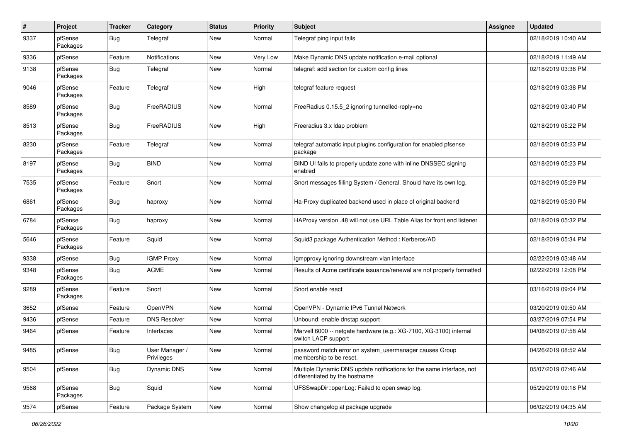| $\sharp$ | Project             | <b>Tracker</b> | Category                     | <b>Status</b> | <b>Priority</b> | <b>Subject</b>                                                                                          | <b>Assignee</b> | <b>Updated</b>      |
|----------|---------------------|----------------|------------------------------|---------------|-----------------|---------------------------------------------------------------------------------------------------------|-----------------|---------------------|
| 9337     | pfSense<br>Packages | Bug            | Telegraf                     | New           | Normal          | Telegraf ping input fails                                                                               |                 | 02/18/2019 10:40 AM |
| 9336     | pfSense             | Feature        | Notifications                | New           | Very Low        | Make Dynamic DNS update notification e-mail optional                                                    |                 | 02/18/2019 11:49 AM |
| 9138     | pfSense<br>Packages | Bug            | Telegraf                     | New           | Normal          | telegraf: add section for custom config lines                                                           |                 | 02/18/2019 03:36 PM |
| 9046     | pfSense<br>Packages | Feature        | Telegraf                     | New           | High            | telegraf feature request                                                                                |                 | 02/18/2019 03:38 PM |
| 8589     | pfSense<br>Packages | <b>Bug</b>     | FreeRADIUS                   | New           | Normal          | FreeRadius 0.15.5_2 ignoring tunnelled-reply=no                                                         |                 | 02/18/2019 03:40 PM |
| 8513     | pfSense<br>Packages | <b>Bug</b>     | FreeRADIUS                   | New           | High            | Freeradius 3.x Idap problem                                                                             |                 | 02/18/2019 05:22 PM |
| 8230     | pfSense<br>Packages | Feature        | Telegraf                     | New           | Normal          | telegraf automatic input plugins configuration for enabled pfsense<br>package                           |                 | 02/18/2019 05:23 PM |
| 8197     | pfSense<br>Packages | Bug            | <b>BIND</b>                  | New           | Normal          | BIND UI fails to properly update zone with inline DNSSEC signing<br>enabled                             |                 | 02/18/2019 05:23 PM |
| 7535     | pfSense<br>Packages | Feature        | Snort                        | New           | Normal          | Snort messages filling System / General. Should have its own log.                                       |                 | 02/18/2019 05:29 PM |
| 6861     | pfSense<br>Packages | <b>Bug</b>     | haproxy                      | New           | Normal          | Ha-Proxy duplicated backend used in place of original backend                                           |                 | 02/18/2019 05:30 PM |
| 6784     | pfSense<br>Packages | <b>Bug</b>     | haproxy                      | New           | Normal          | HAProxy version .48 will not use URL Table Alias for front end listener                                 |                 | 02/18/2019 05:32 PM |
| 5646     | pfSense<br>Packages | Feature        | Squid                        | New           | Normal          | Squid3 package Authentication Method: Kerberos/AD                                                       |                 | 02/18/2019 05:34 PM |
| 9338     | pfSense             | <b>Bug</b>     | <b>IGMP Proxy</b>            | New           | Normal          | igmpproxy ignoring downstream vlan interface                                                            |                 | 02/22/2019 03:48 AM |
| 9348     | pfSense<br>Packages | Bug            | <b>ACME</b>                  | New           | Normal          | Results of Acme certificate issuance/renewal are not properly formatted                                 |                 | 02/22/2019 12:08 PM |
| 9289     | pfSense<br>Packages | Feature        | Snort                        | New           | Normal          | Snort enable react                                                                                      |                 | 03/16/2019 09:04 PM |
| 3652     | pfSense             | Feature        | OpenVPN                      | New           | Normal          | OpenVPN - Dynamic IPv6 Tunnel Network                                                                   |                 | 03/20/2019 09:50 AM |
| 9436     | pfSense             | Feature        | <b>DNS Resolver</b>          | New           | Normal          | Unbound: enable dnstap support                                                                          |                 | 03/27/2019 07:54 PM |
| 9464     | pfSense             | Feature        | Interfaces                   | New           | Normal          | Marvell 6000 -- netgate hardware (e.g.: XG-7100, XG-3100) internal<br>switch LACP support               |                 | 04/08/2019 07:58 AM |
| 9485     | pfSense             | Bug            | User Manager /<br>Privileges | New           | Normal          | password match error on system_usermanager causes Group<br>membership to be reset.                      |                 | 04/26/2019 08:52 AM |
| 9504     | pfSense             | <b>Bug</b>     | Dynamic DNS                  | New           | Normal          | Multiple Dynamic DNS update notifications for the same interface, not<br>differentiated by the hostname |                 | 05/07/2019 07:46 AM |
| 9568     | pfSense<br>Packages | <b>Bug</b>     | Squid                        | New           | Normal          | UFSSwapDir::openLog: Failed to open swap log.                                                           |                 | 05/29/2019 09:18 PM |
| 9574     | pfSense             | Feature        | Package System               | New           | Normal          | Show changelog at package upgrade                                                                       |                 | 06/02/2019 04:35 AM |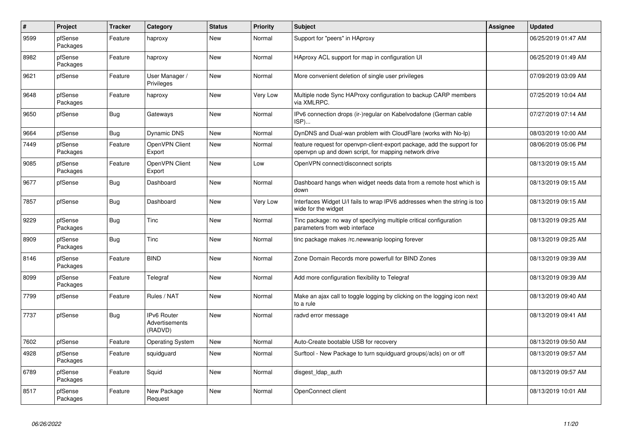| $\pmb{\#}$ | Project             | <b>Tracker</b> | Category                                        | <b>Status</b> | <b>Priority</b> | <b>Subject</b>                                                                                                                  | <b>Assignee</b> | <b>Updated</b>      |
|------------|---------------------|----------------|-------------------------------------------------|---------------|-----------------|---------------------------------------------------------------------------------------------------------------------------------|-----------------|---------------------|
| 9599       | pfSense<br>Packages | Feature        | haproxy                                         | New           | Normal          | Support for "peers" in HAproxy                                                                                                  |                 | 06/25/2019 01:47 AM |
| 8982       | pfSense<br>Packages | Feature        | haproxy                                         | New           | Normal          | HAproxy ACL support for map in configuration UI                                                                                 |                 | 06/25/2019 01:49 AM |
| 9621       | pfSense             | Feature        | User Manager /<br>Privileges                    | New           | Normal          | More convenient deletion of single user privileges                                                                              |                 | 07/09/2019 03:09 AM |
| 9648       | pfSense<br>Packages | Feature        | haproxy                                         | New           | Very Low        | Multiple node Sync HAProxy configuration to backup CARP members<br>via XMLRPC.                                                  |                 | 07/25/2019 10:04 AM |
| 9650       | pfSense             | <b>Bug</b>     | Gateways                                        | New           | Normal          | IPv6 connection drops (ir-)regular on Kabelvodafone (German cable<br>ISP)                                                       |                 | 07/27/2019 07:14 AM |
| 9664       | pfSense             | <b>Bug</b>     | Dynamic DNS                                     | New           | Normal          | DynDNS and Dual-wan problem with CloudFlare (works with No-Ip)                                                                  |                 | 08/03/2019 10:00 AM |
| 7449       | pfSense<br>Packages | Feature        | OpenVPN Client<br>Export                        | New           | Normal          | feature request for openypn-client-export package, add the support for<br>openvpn up and down script, for mapping network drive |                 | 08/06/2019 05:06 PM |
| 9085       | pfSense<br>Packages | Feature        | OpenVPN Client<br>Export                        | New           | Low             | OpenVPN connect/disconnect scripts                                                                                              |                 | 08/13/2019 09:15 AM |
| 9677       | pfSense             | <b>Bug</b>     | Dashboard                                       | New           | Normal          | Dashboard hangs when widget needs data from a remote host which is<br>down                                                      |                 | 08/13/2019 09:15 AM |
| 7857       | pfSense             | <b>Bug</b>     | Dashboard                                       | New           | Very Low        | Interfaces Widget U/I fails to wrap IPV6 addresses when the string is too<br>wide for the widget                                |                 | 08/13/2019 09:15 AM |
| 9229       | pfSense<br>Packages | <b>Bug</b>     | Tinc                                            | New           | Normal          | Tinc package: no way of specifying multiple critical configuration<br>parameters from web interface                             |                 | 08/13/2019 09:25 AM |
| 8909       | pfSense<br>Packages | <b>Bug</b>     | Tinc                                            | New           | Normal          | tinc package makes /rc.newwanip looping forever                                                                                 |                 | 08/13/2019 09:25 AM |
| 8146       | pfSense<br>Packages | Feature        | <b>BIND</b>                                     | New           | Normal          | Zone Domain Records more powerfull for BIND Zones                                                                               |                 | 08/13/2019 09:39 AM |
| 8099       | pfSense<br>Packages | Feature        | Telegraf                                        | New           | Normal          | Add more configuration flexibility to Telegraf                                                                                  |                 | 08/13/2019 09:39 AM |
| 7799       | pfSense             | Feature        | Rules / NAT                                     | New           | Normal          | Make an ajax call to toggle logging by clicking on the logging icon next<br>to a rule                                           |                 | 08/13/2019 09:40 AM |
| 7737       | pfSense             | <b>Bug</b>     | IPv6 Router<br><b>Advertisements</b><br>(RADVD) | New           | Normal          | radvd error message                                                                                                             |                 | 08/13/2019 09:41 AM |
| 7602       | pfSense             | Feature        | <b>Operating System</b>                         | New           | Normal          | Auto-Create bootable USB for recovery                                                                                           |                 | 08/13/2019 09:50 AM |
| 4928       | pfSense<br>Packages | Feature        | squidguard                                      | New           | Normal          | Surftool - New Package to turn squidguard groups(/acls) on or off                                                               |                 | 08/13/2019 09:57 AM |
| 6789       | pfSense<br>Packages | Feature        | Squid                                           | New           | Normal          | disgest Idap auth                                                                                                               |                 | 08/13/2019 09:57 AM |
| 8517       | pfSense<br>Packages | Feature        | New Package<br>Request                          | New           | Normal          | OpenConnect client                                                                                                              |                 | 08/13/2019 10:01 AM |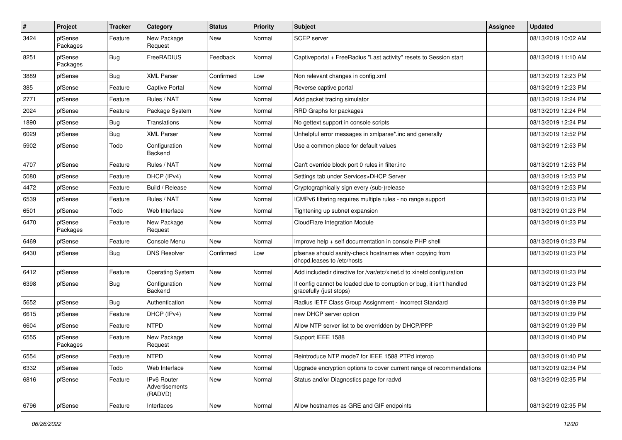| $\sharp$ | Project             | <b>Tracker</b> | Category                                 | <b>Status</b> | <b>Priority</b> | Subject                                                                                          | Assignee | <b>Updated</b>      |
|----------|---------------------|----------------|------------------------------------------|---------------|-----------------|--------------------------------------------------------------------------------------------------|----------|---------------------|
| 3424     | pfSense<br>Packages | Feature        | New Package<br>Request                   | New           | Normal          | SCEP server                                                                                      |          | 08/13/2019 10:02 AM |
| 8251     | pfSense<br>Packages | <b>Bug</b>     | FreeRADIUS                               | Feedback      | Normal          | Captiveportal + FreeRadius "Last activity" resets to Session start                               |          | 08/13/2019 11:10 AM |
| 3889     | pfSense             | <b>Bug</b>     | <b>XML Parser</b>                        | Confirmed     | Low             | Non relevant changes in config.xml                                                               |          | 08/13/2019 12:23 PM |
| 385      | pfSense             | Feature        | Captive Portal                           | <b>New</b>    | Normal          | Reverse captive portal                                                                           |          | 08/13/2019 12:23 PM |
| 2771     | pfSense             | Feature        | Rules / NAT                              | <b>New</b>    | Normal          | Add packet tracing simulator                                                                     |          | 08/13/2019 12:24 PM |
| 2024     | pfSense             | Feature        | Package System                           | New           | Normal          | RRD Graphs for packages                                                                          |          | 08/13/2019 12:24 PM |
| 1890     | pfSense             | <b>Bug</b>     | Translations                             | <b>New</b>    | Normal          | No gettext support in console scripts                                                            |          | 08/13/2019 12:24 PM |
| 6029     | pfSense             | Bug            | <b>XML Parser</b>                        | <b>New</b>    | Normal          | Unhelpful error messages in xmlparse*.inc and generally                                          |          | 08/13/2019 12:52 PM |
| 5902     | pfSense             | Todo           | Configuration<br>Backend                 | New           | Normal          | Use a common place for default values                                                            |          | 08/13/2019 12:53 PM |
| 4707     | pfSense             | Feature        | Rules / NAT                              | <b>New</b>    | Normal          | Can't override block port 0 rules in filter.inc                                                  |          | 08/13/2019 12:53 PM |
| 5080     | pfSense             | Feature        | DHCP (IPv4)                              | New           | Normal          | Settings tab under Services>DHCP Server                                                          |          | 08/13/2019 12:53 PM |
| 4472     | pfSense             | Feature        | Build / Release                          | New           | Normal          | Cryptographically sign every (sub-)release                                                       |          | 08/13/2019 12:53 PM |
| 6539     | pfSense             | Feature        | Rules / NAT                              | New           | Normal          | ICMPv6 filtering requires multiple rules - no range support                                      |          | 08/13/2019 01:23 PM |
| 6501     | pfSense             | Todo           | Web Interface                            | <b>New</b>    | Normal          | Tightening up subnet expansion                                                                   |          | 08/13/2019 01:23 PM |
| 6470     | pfSense<br>Packages | Feature        | New Package<br>Request                   | <b>New</b>    | Normal          | CloudFlare Integration Module                                                                    |          | 08/13/2019 01:23 PM |
| 6469     | pfSense             | Feature        | Console Menu                             | New           | Normal          | Improve help + self documentation in console PHP shell                                           |          | 08/13/2019 01:23 PM |
| 6430     | pfSense             | Bug            | <b>DNS Resolver</b>                      | Confirmed     | Low             | pfsense should sanity-check hostnames when copying from<br>dhcpd.leases to /etc/hosts            |          | 08/13/2019 01:23 PM |
| 6412     | pfSense             | Feature        | <b>Operating System</b>                  | New           | Normal          | Add includedir directive for /var/etc/xinet.d to xinetd configuration                            |          | 08/13/2019 01:23 PM |
| 6398     | pfSense             | Bug            | Configuration<br>Backend                 | New           | Normal          | If config cannot be loaded due to corruption or bug, it isn't handled<br>gracefully (just stops) |          | 08/13/2019 01:23 PM |
| 5652     | pfSense             | Bug            | Authentication                           | <b>New</b>    | Normal          | Radius IETF Class Group Assignment - Incorrect Standard                                          |          | 08/13/2019 01:39 PM |
| 6615     | pfSense             | Feature        | DHCP (IPv4)                              | New           | Normal          | new DHCP server option                                                                           |          | 08/13/2019 01:39 PM |
| 6604     | pfSense             | Feature        | <b>NTPD</b>                              | New           | Normal          | Allow NTP server list to be overridden by DHCP/PPP                                               |          | 08/13/2019 01:39 PM |
| 6555     | pfSense<br>Packages | Feature        | New Package<br>Request                   | New           | Normal          | Support IEEE 1588                                                                                |          | 08/13/2019 01:40 PM |
| 6554     | pfSense             | Feature        | <b>NTPD</b>                              | New           | Normal          | Reintroduce NTP mode7 for IEEE 1588 PTPd interop                                                 |          | 08/13/2019 01:40 PM |
| 6332     | pfSense             | Todo           | Web Interface                            | New           | Normal          | Upgrade encryption options to cover current range of recommendations                             |          | 08/13/2019 02:34 PM |
| 6816     | pfSense             | Feature        | IPv6 Router<br>Advertisements<br>(RADVD) | New           | Normal          | Status and/or Diagnostics page for radvd                                                         |          | 08/13/2019 02:35 PM |
| 6796     | pfSense             | Feature        | Interfaces                               | New           | Normal          | Allow hostnames as GRE and GIF endpoints                                                         |          | 08/13/2019 02:35 PM |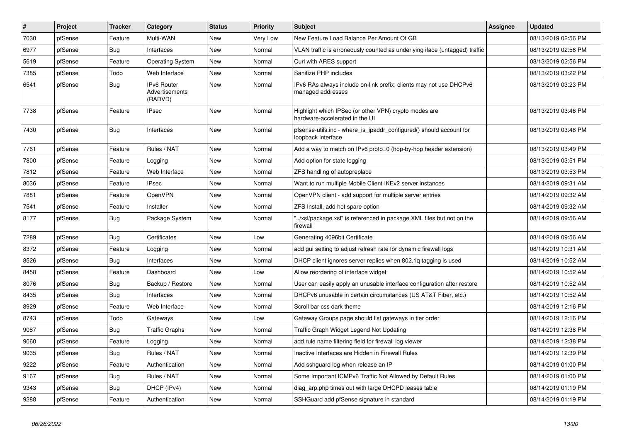| #    | Project | <b>Tracker</b> | Category                                 | <b>Status</b> | <b>Priority</b> | <b>Subject</b>                                                                            | Assignee | <b>Updated</b>      |
|------|---------|----------------|------------------------------------------|---------------|-----------------|-------------------------------------------------------------------------------------------|----------|---------------------|
| 7030 | pfSense | Feature        | Multi-WAN                                | New           | Very Low        | New Feature Load Balance Per Amount Of GB                                                 |          | 08/13/2019 02:56 PM |
| 6977 | pfSense | <b>Bug</b>     | Interfaces                               | New           | Normal          | VLAN traffic is erroneously counted as underlying iface (untagged) traffic                |          | 08/13/2019 02:56 PM |
| 5619 | pfSense | Feature        | <b>Operating System</b>                  | New           | Normal          | Curl with ARES support                                                                    |          | 08/13/2019 02:56 PM |
| 7385 | pfSense | Todo           | Web Interface                            | New           | Normal          | Sanitize PHP includes                                                                     |          | 08/13/2019 03:22 PM |
| 6541 | pfSense | <b>Bug</b>     | IPv6 Router<br>Advertisements<br>(RADVD) | New           | Normal          | IPv6 RAs always include on-link prefix; clients may not use DHCPv6<br>managed addresses   |          | 08/13/2019 03:23 PM |
| 7738 | pfSense | Feature        | <b>IPsec</b>                             | New           | Normal          | Highlight which IPSec (or other VPN) crypto modes are<br>hardware-accelerated in the UI   |          | 08/13/2019 03:46 PM |
| 7430 | pfSense | <b>Bug</b>     | Interfaces                               | <b>New</b>    | Normal          | pfsense-utils.inc - where is ipaddr configured() should account for<br>loopback interface |          | 08/13/2019 03:48 PM |
| 7761 | pfSense | Feature        | Rules / NAT                              | New           | Normal          | Add a way to match on IPv6 proto=0 (hop-by-hop header extension)                          |          | 08/13/2019 03:49 PM |
| 7800 | pfSense | Feature        | Logging                                  | <b>New</b>    | Normal          | Add option for state logging                                                              |          | 08/13/2019 03:51 PM |
| 7812 | pfSense | Feature        | Web Interface                            | <b>New</b>    | Normal          | ZFS handling of autopreplace                                                              |          | 08/13/2019 03:53 PM |
| 8036 | pfSense | Feature        | <b>IPsec</b>                             | New           | Normal          | Want to run multiple Mobile Client IKEv2 server instances                                 |          | 08/14/2019 09:31 AM |
| 7881 | pfSense | Feature        | OpenVPN                                  | New           | Normal          | OpenVPN client - add support for multiple server entries                                  |          | 08/14/2019 09:32 AM |
| 7541 | pfSense | Feature        | Installer                                | <b>New</b>    | Normal          | ZFS Install, add hot spare option                                                         |          | 08/14/2019 09:32 AM |
| 8177 | pfSense | <b>Bug</b>     | Package System                           | New           | Normal          | /xsl/package.xsl" is referenced in package XML files but not on the<br>firewall           |          | 08/14/2019 09:56 AM |
| 7289 | pfSense | Bug            | Certificates                             | New           | Low             | Generating 4096bit Certificate                                                            |          | 08/14/2019 09:56 AM |
| 8372 | pfSense | Feature        | Logging                                  | New           | Normal          | add gui setting to adjust refresh rate for dynamic firewall logs                          |          | 08/14/2019 10:31 AM |
| 8526 | pfSense | <b>Bug</b>     | Interfaces                               | New           | Normal          | DHCP client ignores server replies when 802.1g tagging is used                            |          | 08/14/2019 10:52 AM |
| 8458 | pfSense | Feature        | Dashboard                                | New           | Low             | Allow reordering of interface widget                                                      |          | 08/14/2019 10:52 AM |
| 8076 | pfSense | Bug            | Backup / Restore                         | New           | Normal          | User can easily apply an unusable interface configuration after restore                   |          | 08/14/2019 10:52 AM |
| 8435 | pfSense | <b>Bug</b>     | Interfaces                               | New           | Normal          | DHCPv6 unusable in certain circumstances (US AT&T Fiber, etc.)                            |          | 08/14/2019 10:52 AM |
| 8929 | pfSense | Feature        | Web Interface                            | New           | Normal          | Scroll bar css dark theme                                                                 |          | 08/14/2019 12:16 PM |
| 8743 | pfSense | Todo           | Gateways                                 | New           | Low             | Gateway Groups page should list gateways in tier order                                    |          | 08/14/2019 12:16 PM |
| 9087 | pfSense | Bug            | <b>Traffic Graphs</b>                    | New           | Normal          | Traffic Graph Widget Legend Not Updating                                                  |          | 08/14/2019 12:38 PM |
| 9060 | pfSense | Feature        | Logging                                  | <b>New</b>    | Normal          | add rule name filtering field for firewall log viewer                                     |          | 08/14/2019 12:38 PM |
| 9035 | pfSense | <b>Bug</b>     | Rules / NAT                              | New           | Normal          | Inactive Interfaces are Hidden in Firewall Rules                                          |          | 08/14/2019 12:39 PM |
| 9222 | pfSense | Feature        | Authentication                           | New           | Normal          | Add sshguard log when release an IP                                                       |          | 08/14/2019 01:00 PM |
| 9167 | pfSense | <b>Bug</b>     | Rules / NAT                              | New           | Normal          | Some Important ICMPv6 Traffic Not Allowed by Default Rules                                |          | 08/14/2019 01:00 PM |
| 9343 | pfSense | Bug            | DHCP (IPv4)                              | New           | Normal          | diag arp.php times out with large DHCPD leases table                                      |          | 08/14/2019 01:19 PM |
| 9288 | pfSense | Feature        | Authentication                           | New           | Normal          | SSHGuard add pfSense signature in standard                                                |          | 08/14/2019 01:19 PM |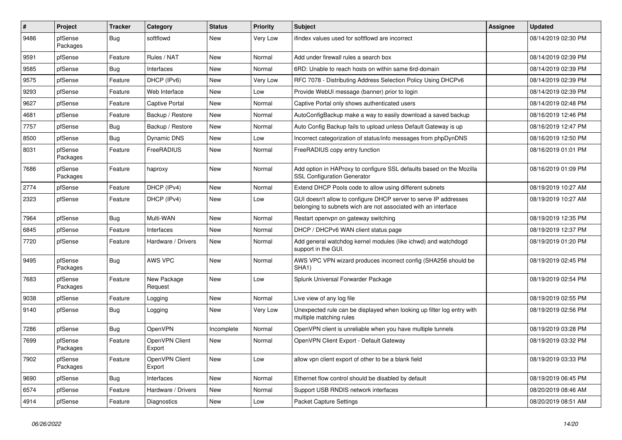| #    | Project             | <b>Tracker</b> | Category                 | <b>Status</b> | <b>Priority</b> | <b>Subject</b>                                                                                                                     | Assignee | <b>Updated</b>      |
|------|---------------------|----------------|--------------------------|---------------|-----------------|------------------------------------------------------------------------------------------------------------------------------------|----------|---------------------|
| 9486 | pfSense<br>Packages | Bug            | softflowd                | New           | Very Low        | ifindex values used for softflowd are incorrect                                                                                    |          | 08/14/2019 02:30 PM |
| 9591 | pfSense             | Feature        | Rules / NAT              | New           | Normal          | Add under firewall rules a search box                                                                                              |          | 08/14/2019 02:39 PM |
| 9585 | pfSense             | Bug            | Interfaces               | New           | Normal          | 6RD: Unable to reach hosts on within same 6rd-domain                                                                               |          | 08/14/2019 02:39 PM |
| 9575 | pfSense             | Feature        | DHCP (IPv6)              | <b>New</b>    | Very Low        | RFC 7078 - Distributing Address Selection Policy Using DHCPv6                                                                      |          | 08/14/2019 02:39 PM |
| 9293 | pfSense             | Feature        | Web Interface            | New           | Low             | Provide WebUI message (banner) prior to login                                                                                      |          | 08/14/2019 02:39 PM |
| 9627 | pfSense             | Feature        | Captive Portal           | New           | Normal          | Captive Portal only shows authenticated users                                                                                      |          | 08/14/2019 02:48 PM |
| 4681 | pfSense             | Feature        | Backup / Restore         | New           | Normal          | AutoConfigBackup make a way to easily download a saved backup                                                                      |          | 08/16/2019 12:46 PM |
| 7757 | pfSense             | Bug            | Backup / Restore         | New           | Normal          | Auto Config Backup fails to upload unless Default Gateway is up                                                                    |          | 08/16/2019 12:47 PM |
| 8500 | pfSense             | <b>Bug</b>     | Dynamic DNS              | New           | Low             | Incorrect categorization of status/info messages from phpDynDNS                                                                    |          | 08/16/2019 12:50 PM |
| 8031 | pfSense<br>Packages | Feature        | FreeRADIUS               | New           | Normal          | FreeRADIUS copy entry function                                                                                                     |          | 08/16/2019 01:01 PM |
| 7686 | pfSense<br>Packages | Feature        | haproxy                  | New           | Normal          | Add option in HAProxy to configure SSL defaults based on the Mozilla<br><b>SSL Configuration Generator</b>                         |          | 08/16/2019 01:09 PM |
| 2774 | pfSense             | Feature        | DHCP (IPv4)              | <b>New</b>    | Normal          | Extend DHCP Pools code to allow using different subnets                                                                            |          | 08/19/2019 10:27 AM |
| 2323 | pfSense             | Feature        | DHCP (IPv4)              | New           | Low             | GUI doesn't allow to configure DHCP server to serve IP addresses<br>belonging to subnets wich are not associated with an interface |          | 08/19/2019 10:27 AM |
| 7964 | pfSense             | <b>Bug</b>     | Multi-WAN                | New           | Normal          | Restart openvpn on gateway switching                                                                                               |          | 08/19/2019 12:35 PM |
| 6845 | pfSense             | Feature        | Interfaces               | New           | Normal          | DHCP / DHCPv6 WAN client status page                                                                                               |          | 08/19/2019 12:37 PM |
| 7720 | pfSense             | Feature        | Hardware / Drivers       | New           | Normal          | Add general watchdog kernel modules (like ichwd) and watchdogd<br>support in the GUI.                                              |          | 08/19/2019 01:20 PM |
| 9495 | pfSense<br>Packages | <b>Bug</b>     | AWS VPC                  | New           | Normal          | AWS VPC VPN wizard produces incorrect config (SHA256 should be<br>SHA <sub>1</sub> )                                               |          | 08/19/2019 02:45 PM |
| 7683 | pfSense<br>Packages | Feature        | New Package<br>Request   | New           | Low             | Splunk Universal Forwarder Package                                                                                                 |          | 08/19/2019 02:54 PM |
| 9038 | pfSense             | Feature        | Logging                  | <b>New</b>    | Normal          | Live view of any log file                                                                                                          |          | 08/19/2019 02:55 PM |
| 9140 | pfSense             | Bug            | Logging                  | New           | Very Low        | Unexpected rule can be displayed when looking up filter log entry with<br>multiple matching rules                                  |          | 08/19/2019 02:56 PM |
| 7286 | pfSense             | Bug            | OpenVPN                  | Incomplete    | Normal          | OpenVPN client is unreliable when you have multiple tunnels                                                                        |          | 08/19/2019 03:28 PM |
| 7699 | pfSense<br>Packages | Feature        | OpenVPN Client<br>Export | New           | Normal          | OpenVPN Client Export - Default Gateway                                                                                            |          | 08/19/2019 03:32 PM |
| 7902 | pfSense<br>Packages | Feature        | OpenVPN Client<br>Export | New           | Low             | allow vpn client export of other to be a blank field                                                                               |          | 08/19/2019 03:33 PM |
| 9690 | pfSense             | Bug            | Interfaces               | New           | Normal          | Ethernet flow control should be disabled by default                                                                                |          | 08/19/2019 06:45 PM |
| 6574 | pfSense             | Feature        | Hardware / Drivers       | New           | Normal          | Support USB RNDIS network interfaces                                                                                               |          | 08/20/2019 08:46 AM |
| 4914 | pfSense             | Feature        | Diagnostics              | New           | Low             | <b>Packet Capture Settings</b>                                                                                                     |          | 08/20/2019 08:51 AM |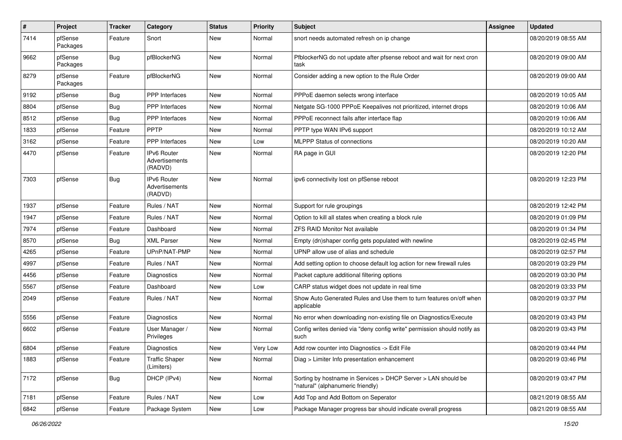| $\sharp$ | Project             | <b>Tracker</b> | Category                                        | <b>Status</b> | <b>Priority</b> | <b>Subject</b>                                                                                     | <b>Assignee</b> | <b>Updated</b>      |
|----------|---------------------|----------------|-------------------------------------------------|---------------|-----------------|----------------------------------------------------------------------------------------------------|-----------------|---------------------|
| 7414     | pfSense<br>Packages | Feature        | Snort                                           | New           | Normal          | snort needs automated refresh on ip change                                                         |                 | 08/20/2019 08:55 AM |
| 9662     | pfSense<br>Packages | Bug            | pfBlockerNG                                     | <b>New</b>    | Normal          | PfblockerNG do not update after pfsense reboot and wait for next cron<br>task                      |                 | 08/20/2019 09:00 AM |
| 8279     | pfSense<br>Packages | Feature        | pfBlockerNG                                     | <b>New</b>    | Normal          | Consider adding a new option to the Rule Order                                                     |                 | 08/20/2019 09:00 AM |
| 9192     | pfSense             | Bug            | <b>PPP</b> Interfaces                           | <b>New</b>    | Normal          | PPPoE daemon selects wrong interface                                                               |                 | 08/20/2019 10:05 AM |
| 8804     | pfSense             | <b>Bug</b>     | PPP Interfaces                                  | New           | Normal          | Netgate SG-1000 PPPoE Keepalives not prioritized, internet drops                                   |                 | 08/20/2019 10:06 AM |
| 8512     | pfSense             | <b>Bug</b>     | PPP Interfaces                                  | New           | Normal          | PPPoE reconnect fails after interface flap                                                         |                 | 08/20/2019 10:06 AM |
| 1833     | pfSense             | Feature        | PPTP                                            | <b>New</b>    | Normal          | PPTP type WAN IPv6 support                                                                         |                 | 08/20/2019 10:12 AM |
| 3162     | pfSense             | Feature        | <b>PPP</b> Interfaces                           | New           | Low             | <b>MLPPP Status of connections</b>                                                                 |                 | 08/20/2019 10:20 AM |
| 4470     | pfSense             | Feature        | <b>IPv6 Router</b><br>Advertisements<br>(RADVD) | New           | Normal          | RA page in GUI                                                                                     |                 | 08/20/2019 12:20 PM |
| 7303     | pfSense             | Bug            | <b>IPv6 Router</b><br>Advertisements<br>(RADVD) | <b>New</b>    | Normal          | ipv6 connectivity lost on pfSense reboot                                                           |                 | 08/20/2019 12:23 PM |
| 1937     | pfSense             | Feature        | Rules / NAT                                     | <b>New</b>    | Normal          | Support for rule groupings                                                                         |                 | 08/20/2019 12:42 PM |
| 1947     | pfSense             | Feature        | Rules / NAT                                     | New           | Normal          | Option to kill all states when creating a block rule                                               |                 | 08/20/2019 01:09 PM |
| 7974     | pfSense             | Feature        | Dashboard                                       | New           | Normal          | <b>ZFS RAID Monitor Not available</b>                                                              |                 | 08/20/2019 01:34 PM |
| 8570     | pfSense             | Bug            | <b>XML Parser</b>                               | <b>New</b>    | Normal          | Empty (dn)shaper config gets populated with newline                                                |                 | 08/20/2019 02:45 PM |
| 4265     | pfSense             | Feature        | UPnP/NAT-PMP                                    | New           | Normal          | UPNP allow use of alias and schedule                                                               |                 | 08/20/2019 02:57 PM |
| 4997     | pfSense             | Feature        | Rules / NAT                                     | <b>New</b>    | Normal          | Add setting option to choose default log action for new firewall rules                             |                 | 08/20/2019 03:29 PM |
| 4456     | pfSense             | Feature        | Diagnostics                                     | New           | Normal          | Packet capture additional filtering options                                                        |                 | 08/20/2019 03:30 PM |
| 5567     | pfSense             | Feature        | Dashboard                                       | New           | Low             | CARP status widget does not update in real time                                                    |                 | 08/20/2019 03:33 PM |
| 2049     | pfSense             | Feature        | Rules / NAT                                     | <b>New</b>    | Normal          | Show Auto Generated Rules and Use them to turn features on/off when<br>applicable                  |                 | 08/20/2019 03:37 PM |
| 5556     | pfSense             | Feature        | Diagnostics                                     | New           | Normal          | No error when downloading non-existing file on Diagnostics/Execute                                 |                 | 08/20/2019 03:43 PM |
| 6602     | pfSense             | Feature        | User Manager /<br>Privileges                    | New           | Normal          | Config writes denied via "deny config write" permission should notify as<br>such                   |                 | 08/20/2019 03:43 PM |
| 6804     | pfSense             | Feature        | Diagnostics                                     | New           | Very Low        | Add row counter into Diagnostics -> Edit File                                                      |                 | 08/20/2019 03:44 PM |
| 1883     | pfSense             | Feature        | <b>Traffic Shaper</b><br>(Limiters)             | New           | Normal          | Diag > Limiter Info presentation enhancement                                                       |                 | 08/20/2019 03:46 PM |
| 7172     | pfSense             | <b>Bug</b>     | DHCP (IPv4)                                     | New           | Normal          | Sorting by hostname in Services > DHCP Server > LAN should be<br>"natural" (alphanumeric friendly) |                 | 08/20/2019 03:47 PM |
| 7181     | pfSense             | Feature        | Rules / NAT                                     | New           | Low             | Add Top and Add Bottom on Seperator                                                                |                 | 08/21/2019 08:55 AM |
| 6842     | pfSense             | Feature        | Package System                                  | New           | Low             | Package Manager progress bar should indicate overall progress                                      |                 | 08/21/2019 08:55 AM |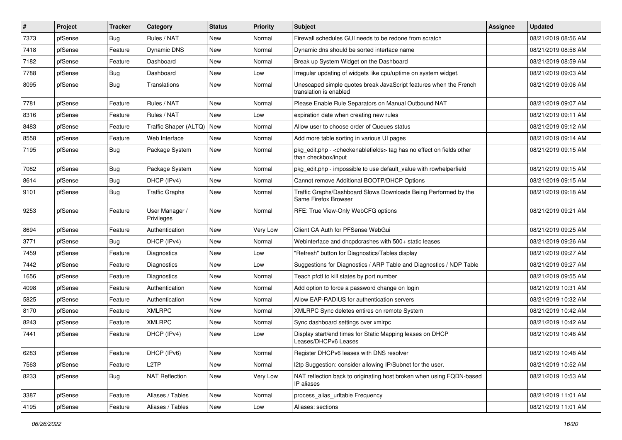| $\vert$ # | Project | <b>Tracker</b> | Category                     | <b>Status</b> | <b>Priority</b> | <b>Subject</b>                                                                                                   | <b>Assignee</b> | <b>Updated</b>      |
|-----------|---------|----------------|------------------------------|---------------|-----------------|------------------------------------------------------------------------------------------------------------------|-----------------|---------------------|
| 7373      | pfSense | <b>Bug</b>     | Rules / NAT                  | New           | Normal          | Firewall schedules GUI needs to be redone from scratch                                                           |                 | 08/21/2019 08:56 AM |
| 7418      | pfSense | Feature        | Dynamic DNS                  | <b>New</b>    | Normal          | Dynamic dns should be sorted interface name                                                                      |                 | 08/21/2019 08:58 AM |
| 7182      | pfSense | Feature        | Dashboard                    | New           | Normal          | Break up System Widget on the Dashboard                                                                          |                 | 08/21/2019 08:59 AM |
| 7788      | pfSense | Bug            | Dashboard                    | New           | Low             | Irregular updating of widgets like cpu/uptime on system widget.                                                  |                 | 08/21/2019 09:03 AM |
| 8095      | pfSense | <b>Bug</b>     | Translations                 | <b>New</b>    | Normal          | Unescaped simple quotes break JavaScript features when the French<br>translation is enabled                      |                 | 08/21/2019 09:06 AM |
| 7781      | pfSense | Feature        | Rules / NAT                  | <b>New</b>    | Normal          | Please Enable Rule Separators on Manual Outbound NAT                                                             |                 | 08/21/2019 09:07 AM |
| 8316      | pfSense | Feature        | Rules / NAT                  | New           | Low             | expiration date when creating new rules                                                                          |                 | 08/21/2019 09:11 AM |
| 8483      | pfSense | Feature        | Traffic Shaper (ALTQ)        | <b>New</b>    | Normal          | Allow user to choose order of Queues status                                                                      |                 | 08/21/2019 09:12 AM |
| 8558      | pfSense | Feature        | Web Interface                | <b>New</b>    | Normal          | Add more table sorting in various UI pages                                                                       |                 | 08/21/2019 09:14 AM |
| 7195      | pfSense | Bug            | Package System               | <b>New</b>    | Normal          | pkg_edit.php - <checkenablefields> tag has no effect on fields other<br/>than checkbox/input</checkenablefields> |                 | 08/21/2019 09:15 AM |
| 7082      | pfSense | <b>Bug</b>     | Package System               | <b>New</b>    | Normal          | pkg_edit.php - impossible to use default_value with rowhelperfield                                               |                 | 08/21/2019 09:15 AM |
| 8614      | pfSense | <b>Bug</b>     | DHCP (IPv4)                  | New           | Normal          | Cannot remove Additional BOOTP/DHCP Options                                                                      |                 | 08/21/2019 09:15 AM |
| 9101      | pfSense | Bug            | <b>Traffic Graphs</b>        | New           | Normal          | Traffic Graphs/Dashboard Slows Downloads Being Performed by the<br>Same Firefox Browser                          |                 | 08/21/2019 09:18 AM |
| 9253      | pfSense | Feature        | User Manager /<br>Privileges | <b>New</b>    | Normal          | RFE: True View-Only WebCFG options                                                                               |                 | 08/21/2019 09:21 AM |
| 8694      | pfSense | Feature        | Authentication               | New           | Very Low        | Client CA Auth for PFSense WebGui                                                                                |                 | 08/21/2019 09:25 AM |
| 3771      | pfSense | Bug            | DHCP (IPv4)                  | New           | Normal          | Webinterface and dhcpdcrashes with 500+ static leases                                                            |                 | 08/21/2019 09:26 AM |
| 7459      | pfSense | Feature        | Diagnostics                  | <b>New</b>    | Low             | "Refresh" button for Diagnostics/Tables display                                                                  |                 | 08/21/2019 09:27 AM |
| 7442      | pfSense | Feature        | Diagnostics                  | New           | Low             | Suggestions for Diagnostics / ARP Table and Diagnostics / NDP Table                                              |                 | 08/21/2019 09:27 AM |
| 1656      | pfSense | Feature        | Diagnostics                  | <b>New</b>    | Normal          | Teach pfctl to kill states by port number                                                                        |                 | 08/21/2019 09:55 AM |
| 4098      | pfSense | Feature        | Authentication               | New           | Normal          | Add option to force a password change on login                                                                   |                 | 08/21/2019 10:31 AM |
| 5825      | pfSense | Feature        | Authentication               | New           | Normal          | Allow EAP-RADIUS for authentication servers                                                                      |                 | 08/21/2019 10:32 AM |
| 8170      | pfSense | Feature        | <b>XMLRPC</b>                | <b>New</b>    | Normal          | XMLRPC Sync deletes entires on remote System                                                                     |                 | 08/21/2019 10:42 AM |
| 8243      | pfSense | Feature        | <b>XMLRPC</b>                | New           | Normal          | Sync dashboard settings over xmlrpc                                                                              |                 | 08/21/2019 10:42 AM |
| 7441      | pfSense | Feature        | DHCP (IPv4)                  | New           | Low             | Display start/end times for Static Mapping leases on DHCP<br>Leases/DHCPv6 Leases                                |                 | 08/21/2019 10:48 AM |
| 6283      | pfSense | Feature        | DHCP (IPv6)                  | New           | Normal          | Register DHCPv6 leases with DNS resolver                                                                         |                 | 08/21/2019 10:48 AM |
| 7563      | pfSense | Feature        | L <sub>2</sub> TP            | New           | Normal          | I2tp Suggestion: consider allowing IP/Subnet for the user.                                                       |                 | 08/21/2019 10:52 AM |
| 8233      | pfSense | <b>Bug</b>     | <b>NAT Reflection</b>        | New           | Very Low        | NAT reflection back to originating host broken when using FQDN-based<br>IP aliases                               |                 | 08/21/2019 10:53 AM |
| 3387      | pfSense | Feature        | Aliases / Tables             | New           | Normal          | process_alias_urItable Frequency                                                                                 |                 | 08/21/2019 11:01 AM |
| 4195      | pfSense | Feature        | Aliases / Tables             | New           | Low             | Aliases: sections                                                                                                |                 | 08/21/2019 11:01 AM |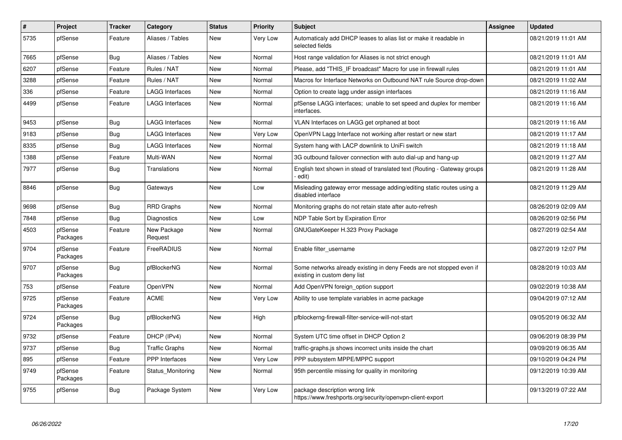| $\pmb{\#}$ | <b>Project</b>      | Tracker    | Category               | <b>Status</b> | <b>Priority</b> | <b>Subject</b>                                                                                       | Assignee | <b>Updated</b>      |
|------------|---------------------|------------|------------------------|---------------|-----------------|------------------------------------------------------------------------------------------------------|----------|---------------------|
| 5735       | pfSense             | Feature    | Aliases / Tables       | New           | Very Low        | Automaticaly add DHCP leases to alias list or make it readable in<br>selected fields                 |          | 08/21/2019 11:01 AM |
| 7665       | pfSense             | <b>Bug</b> | Aliases / Tables       | New           | Normal          | Host range validation for Aliases is not strict enough                                               |          | 08/21/2019 11:01 AM |
| 6207       | pfSense             | Feature    | Rules / NAT            | New           | Normal          | Please, add "THIS IF broadcast" Macro for use in firewall rules                                      |          | 08/21/2019 11:01 AM |
| 3288       | pfSense             | Feature    | Rules / NAT            | New           | Normal          | Macros for Interface Networks on Outbound NAT rule Source drop-down                                  |          | 08/21/2019 11:02 AM |
| 336        | pfSense             | Feature    | LAGG Interfaces        | New           | Normal          | Option to create lagg under assign interfaces                                                        |          | 08/21/2019 11:16 AM |
| 4499       | pfSense             | Feature    | <b>LAGG Interfaces</b> | New           | Normal          | pfSense LAGG interfaces; unable to set speed and duplex for member<br>interfaces.                    |          | 08/21/2019 11:16 AM |
| 9453       | pfSense             | <b>Bug</b> | <b>LAGG Interfaces</b> | New           | Normal          | VLAN Interfaces on LAGG get orphaned at boot                                                         |          | 08/21/2019 11:16 AM |
| 9183       | pfSense             | <b>Bug</b> | <b>LAGG Interfaces</b> | <b>New</b>    | Very Low        | OpenVPN Lagg Interface not working after restart or new start                                        |          | 08/21/2019 11:17 AM |
| 8335       | pfSense             | <b>Bug</b> | <b>LAGG Interfaces</b> | <b>New</b>    | Normal          | System hang with LACP downlink to UniFi switch                                                       |          | 08/21/2019 11:18 AM |
| 1388       | pfSense             | Feature    | Multi-WAN              | <b>New</b>    | Normal          | 3G outbound failover connection with auto dial-up and hang-up                                        |          | 08/21/2019 11:27 AM |
| 7977       | pfSense             | Bug        | Translations           | New           | Normal          | English text shown in stead of translated text (Routing - Gateway groups<br>edit)                    |          | 08/21/2019 11:28 AM |
| 8846       | pfSense             | <b>Bug</b> | Gateways               | <b>New</b>    | Low             | Misleading gateway error message adding/editing static routes using a<br>disabled interface          |          | 08/21/2019 11:29 AM |
| 9698       | pfSense             | Bug        | <b>RRD Graphs</b>      | New           | Normal          | Monitoring graphs do not retain state after auto-refresh                                             |          | 08/26/2019 02:09 AM |
| 7848       | pfSense             | <b>Bug</b> | Diagnostics            | New           | Low             | NDP Table Sort by Expiration Error                                                                   |          | 08/26/2019 02:56 PM |
| 4503       | pfSense<br>Packages | Feature    | New Package<br>Request | New           | Normal          | GNUGateKeeper H.323 Proxy Package                                                                    |          | 08/27/2019 02:54 AM |
| 9704       | pfSense<br>Packages | Feature    | FreeRADIUS             | New           | Normal          | Enable filter username                                                                               |          | 08/27/2019 12:07 PM |
| 9707       | pfSense<br>Packages | <b>Bug</b> | pfBlockerNG            | New           | Normal          | Some networks already existing in deny Feeds are not stopped even if<br>existing in custom deny list |          | 08/28/2019 10:03 AM |
| 753        | pfSense             | Feature    | OpenVPN                | New           | Normal          | Add OpenVPN foreign_option support                                                                   |          | 09/02/2019 10:38 AM |
| 9725       | pfSense<br>Packages | Feature    | <b>ACME</b>            | New           | Very Low        | Ability to use template variables in acme package                                                    |          | 09/04/2019 07:12 AM |
| 9724       | pfSense<br>Packages | <b>Bug</b> | pfBlockerNG            | New           | High            | pfblockerng-firewall-filter-service-will-not-start                                                   |          | 09/05/2019 06:32 AM |
| 9732       | pfSense             | Feature    | DHCP (IPv4)            | <b>New</b>    | Normal          | System UTC time offset in DHCP Option 2                                                              |          | 09/06/2019 08:39 PM |
| 9737       | pfSense             | Bug        | Traffic Graphs         | New           | Normal          | traffic-graphs.js shows incorrect units inside the chart                                             |          | 09/09/2019 06:35 AM |
| 895        | pfSense             | Feature    | <b>PPP</b> Interfaces  | New           | Very Low        | PPP subsystem MPPE/MPPC support                                                                      |          | 09/10/2019 04:24 PM |
| 9749       | pfSense<br>Packages | Feature    | Status_Monitoring      | <b>New</b>    | Normal          | 95th percentile missing for quality in monitoring                                                    |          | 09/12/2019 10:39 AM |
| 9755       | pfSense             | <b>Bug</b> | Package System         | New           | Very Low        | package description wrong link<br>https://www.freshports.org/security/openvpn-client-export          |          | 09/13/2019 07:22 AM |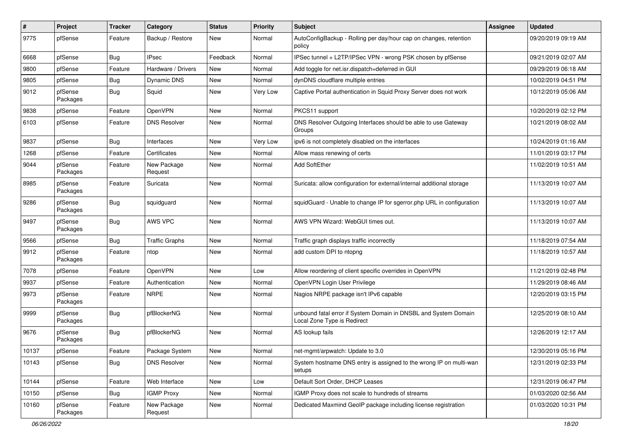| $\sharp$ | Project             | <b>Tracker</b> | Category               | <b>Status</b> | <b>Priority</b> | Subject                                                                                        | <b>Assignee</b> | <b>Updated</b>      |
|----------|---------------------|----------------|------------------------|---------------|-----------------|------------------------------------------------------------------------------------------------|-----------------|---------------------|
| 9775     | pfSense             | Feature        | Backup / Restore       | New           | Normal          | AutoConfigBackup - Rolling per day/hour cap on changes, retention<br>policy                    |                 | 09/20/2019 09:19 AM |
| 6668     | pfSense             | Bug            | <b>IPsec</b>           | Feedback      | Normal          | IPSec tunnel + L2TP/IPSec VPN - wrong PSK chosen by pfSense                                    |                 | 09/21/2019 02:07 AM |
| 9800     | pfSense             | Feature        | Hardware / Drivers     | New           | Normal          | Add toggle for net.isr.dispatch=deferred in GUI                                                |                 | 09/29/2019 06:18 AM |
| 9805     | pfSense             | <b>Bug</b>     | Dynamic DNS            | <b>New</b>    | Normal          | dynDNS cloudflare multiple entries                                                             |                 | 10/02/2019 04:51 PM |
| 9012     | pfSense<br>Packages | Bug            | Squid                  | New           | Very Low        | Captive Portal authentication in Squid Proxy Server does not work                              |                 | 10/12/2019 05:06 AM |
| 9838     | pfSense             | Feature        | OpenVPN                | New           | Normal          | PKCS11 support                                                                                 |                 | 10/20/2019 02:12 PM |
| 6103     | pfSense             | Feature        | <b>DNS Resolver</b>    | New           | Normal          | DNS Resolver Outgoing Interfaces should be able to use Gateway<br>Groups                       |                 | 10/21/2019 08:02 AM |
| 9837     | pfSense             | <b>Bug</b>     | Interfaces             | New           | Very Low        | ipv6 is not completely disabled on the interfaces                                              |                 | 10/24/2019 01:16 AM |
| 1268     | pfSense             | Feature        | Certificates           | New           | Normal          | Allow mass renewing of certs                                                                   |                 | 11/01/2019 03:17 PM |
| 9044     | pfSense<br>Packages | Feature        | New Package<br>Request | <b>New</b>    | Normal          | Add SoftEther                                                                                  |                 | 11/02/2019 10:51 AM |
| 8985     | pfSense<br>Packages | Feature        | Suricata               | <b>New</b>    | Normal          | Suricata: allow configuration for external/internal additional storage                         |                 | 11/13/2019 10:07 AM |
| 9286     | pfSense<br>Packages | <b>Bug</b>     | squidguard             | <b>New</b>    | Normal          | squidGuard - Unable to change IP for sgerror.php URL in configuration                          |                 | 11/13/2019 10:07 AM |
| 9497     | pfSense<br>Packages | Bug            | AWS VPC                | <b>New</b>    | Normal          | AWS VPN Wizard: WebGUI times out.                                                              |                 | 11/13/2019 10:07 AM |
| 9566     | pfSense             | Bug            | <b>Traffic Graphs</b>  | <b>New</b>    | Normal          | Traffic graph displays traffic incorrectly                                                     |                 | 11/18/2019 07:54 AM |
| 9912     | pfSense<br>Packages | Feature        | ntop                   | New           | Normal          | add custom DPI to ntopng                                                                       |                 | 11/18/2019 10:57 AM |
| 7078     | pfSense             | Feature        | OpenVPN                | <b>New</b>    | Low             | Allow reordering of client specific overrides in OpenVPN                                       |                 | 11/21/2019 02:48 PM |
| 9937     | pfSense             | Feature        | Authentication         | New           | Normal          | OpenVPN Login User Privilege                                                                   |                 | 11/29/2019 08:46 AM |
| 9973     | pfSense<br>Packages | Feature        | <b>NRPE</b>            | New           | Normal          | Nagios NRPE package isn't IPv6 capable                                                         |                 | 12/20/2019 03:15 PM |
| 9999     | pfSense<br>Packages | <b>Bug</b>     | pfBlockerNG            | New           | Normal          | unbound fatal error if System Domain in DNSBL and System Domain<br>Local Zone Type is Redirect |                 | 12/25/2019 08:10 AM |
| 9676     | pfSense<br>Packages | Bug            | pfBlockerNG            | <b>New</b>    | Normal          | AS lookup fails                                                                                |                 | 12/26/2019 12:17 AM |
| 10137    | pfSense             | Feature        | Package System         | New           | Normal          | net-mgmt/arpwatch: Update to 3.0                                                               |                 | 12/30/2019 05:16 PM |
| 10143    | pfSense             | Bug            | <b>DNS Resolver</b>    | New           | Normal          | System hostname DNS entry is assigned to the wrong IP on multi-wan<br>setups                   |                 | 12/31/2019 02:33 PM |
| 10144    | pfSense             | Feature        | Web Interface          | New           | Low             | Default Sort Order, DHCP Leases                                                                |                 | 12/31/2019 06:47 PM |
| 10150    | pfSense             | <b>Bug</b>     | <b>IGMP Proxy</b>      | New           | Normal          | IGMP Proxy does not scale to hundreds of streams                                               |                 | 01/03/2020 02:56 AM |
| 10160    | pfSense<br>Packages | Feature        | New Package<br>Request | New           | Normal          | Dedicated Maxmind GeoIP package including license registration                                 |                 | 01/03/2020 10:31 PM |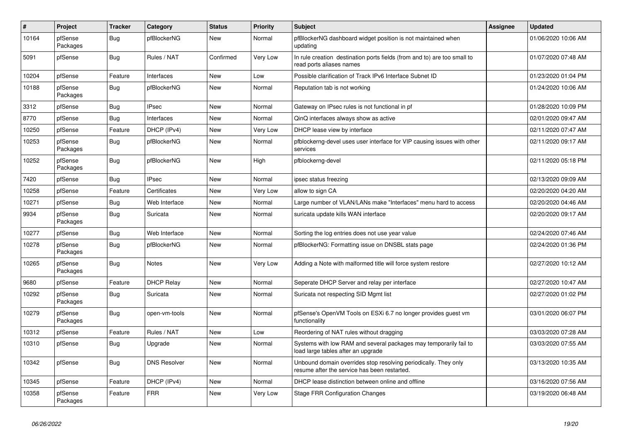| #     | Project             | <b>Tracker</b> | Category            | <b>Status</b> | Priority | <b>Subject</b>                                                                                                  | <b>Assignee</b> | <b>Updated</b>      |
|-------|---------------------|----------------|---------------------|---------------|----------|-----------------------------------------------------------------------------------------------------------------|-----------------|---------------------|
| 10164 | pfSense<br>Packages | <b>Bug</b>     | pfBlockerNG         | New           | Normal   | pfBlockerNG dashboard widget position is not maintained when<br>updating                                        |                 | 01/06/2020 10:06 AM |
| 5091  | pfSense             | <b>Bug</b>     | Rules / NAT         | Confirmed     | Very Low | In rule creation destination ports fields (from and to) are too small to<br>read ports aliases names            |                 | 01/07/2020 07:48 AM |
| 10204 | pfSense             | Feature        | Interfaces          | <b>New</b>    | Low      | Possible clarification of Track IPv6 Interface Subnet ID                                                        |                 | 01/23/2020 01:04 PM |
| 10188 | pfSense<br>Packages | <b>Bug</b>     | pfBlockerNG         | New           | Normal   | Reputation tab is not working                                                                                   |                 | 01/24/2020 10:06 AM |
| 3312  | pfSense             | <b>Bug</b>     | <b>IPsec</b>        | New           | Normal   | Gateway on IPsec rules is not functional in pf                                                                  |                 | 01/28/2020 10:09 PM |
| 8770  | pfSense             | Bug            | Interfaces          | New           | Normal   | QinQ interfaces always show as active                                                                           |                 | 02/01/2020 09:47 AM |
| 10250 | pfSense             | Feature        | DHCP (IPv4)         | New           | Very Low | DHCP lease view by interface                                                                                    |                 | 02/11/2020 07:47 AM |
| 10253 | pfSense<br>Packages | <b>Bug</b>     | pfBlockerNG         | New           | Normal   | pfblockerng-devel uses user interface for VIP causing issues with other<br>services                             |                 | 02/11/2020 09:17 AM |
| 10252 | pfSense<br>Packages | Bug            | pfBlockerNG         | New           | High     | pfblockerng-devel                                                                                               |                 | 02/11/2020 05:18 PM |
| 7420  | pfSense             | Bug            | <b>IPsec</b>        | <b>New</b>    | Normal   | ipsec status freezing                                                                                           |                 | 02/13/2020 09:09 AM |
| 10258 | pfSense             | Feature        | Certificates        | New           | Very Low | allow to sign CA                                                                                                |                 | 02/20/2020 04:20 AM |
| 10271 | pfSense             | Bug            | Web Interface       | New           | Normal   | Large number of VLAN/LANs make "Interfaces" menu hard to access                                                 |                 | 02/20/2020 04:46 AM |
| 9934  | pfSense<br>Packages | <b>Bug</b>     | Suricata            | <b>New</b>    | Normal   | suricata update kills WAN interface                                                                             |                 | 02/20/2020 09:17 AM |
| 10277 | pfSense             | Bug            | Web Interface       | New           | Normal   | Sorting the log entries does not use year value                                                                 |                 | 02/24/2020 07:46 AM |
| 10278 | pfSense<br>Packages | <b>Bug</b>     | pfBlockerNG         | New           | Normal   | pfBlockerNG: Formatting issue on DNSBL stats page                                                               |                 | 02/24/2020 01:36 PM |
| 10265 | pfSense<br>Packages | <b>Bug</b>     | Notes               | <b>New</b>    | Very Low | Adding a Note with malformed title will force system restore                                                    |                 | 02/27/2020 10:12 AM |
| 9680  | pfSense             | Feature        | <b>DHCP Relay</b>   | <b>New</b>    | Normal   | Seperate DHCP Server and relay per interface                                                                    |                 | 02/27/2020 10:47 AM |
| 10292 | pfSense<br>Packages | Bug            | Suricata            | New           | Normal   | Suricata not respecting SID Mgmt list                                                                           |                 | 02/27/2020 01:02 PM |
| 10279 | pfSense<br>Packages | <b>Bug</b>     | open-vm-tools       | <b>New</b>    | Normal   | pfSense's OpenVM Tools on ESXi 6.7 no longer provides guest vm<br>functionality                                 |                 | 03/01/2020 06:07 PM |
| 10312 | pfSense             | Feature        | Rules / NAT         | <b>New</b>    | Low      | Reordering of NAT rules without dragging                                                                        |                 | 03/03/2020 07:28 AM |
| 10310 | pfSense             | <b>Bug</b>     | Upgrade             | New           | Normal   | Systems with low RAM and several packages may temporarily fail to<br>load large tables after an upgrade         |                 | 03/03/2020 07:55 AM |
| 10342 | pfSense             | Bug            | <b>DNS Resolver</b> | New           | Normal   | Unbound domain overrides stop resolving periodically. They only<br>resume after the service has been restarted. |                 | 03/13/2020 10:35 AM |
| 10345 | pfSense             | Feature        | DHCP (IPv4)         | <b>New</b>    | Normal   | DHCP lease distinction between online and offline                                                               |                 | 03/16/2020 07:56 AM |
| 10358 | pfSense<br>Packages | Feature        | <b>FRR</b>          | <b>New</b>    | Very Low | Stage FRR Configuration Changes                                                                                 |                 | 03/19/2020 06:48 AM |